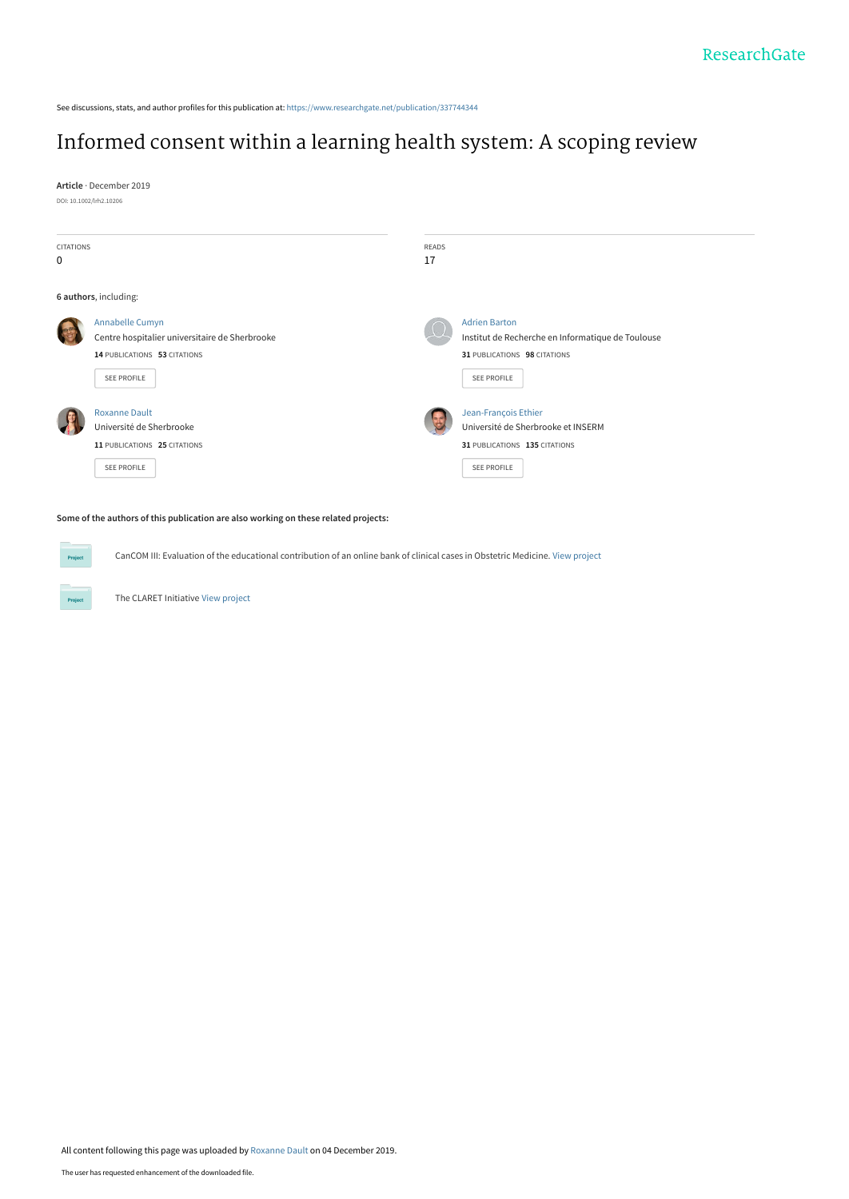See discussions, stats, and author profiles for this publication at: [https://www.researchgate.net/publication/337744344](https://www.researchgate.net/publication/337744344_Informed_consent_within_a_learning_health_system_A_scoping_review?enrichId=rgreq-0bd798cd941aaea203b66ef75fb7e5bd-XXX&enrichSource=Y292ZXJQYWdlOzMzNzc0NDM0NDtBUzo4MzI0OTM0MDYxNTQ3NTNAMTU3NTQ5MzMwMzgwMQ%3D%3D&el=1_x_2&_esc=publicationCoverPdf)

# [Informed consent within a learning health system: A scoping review](https://www.researchgate.net/publication/337744344_Informed_consent_within_a_learning_health_system_A_scoping_review?enrichId=rgreq-0bd798cd941aaea203b66ef75fb7e5bd-XXX&enrichSource=Y292ZXJQYWdlOzMzNzc0NDM0NDtBUzo4MzI0OTM0MDYxNTQ3NTNAMTU3NTQ5MzMwMzgwMQ%3D%3D&el=1_x_3&_esc=publicationCoverPdf)

**Article** · December 2019 DOI: 10.1002/lrh2.10206

**CITATIONS** 0 READS 17 **6 authors**, including: [Annabelle Cumyn](https://www.researchgate.net/profile/Annabelle_Cumyn?enrichId=rgreq-0bd798cd941aaea203b66ef75fb7e5bd-XXX&enrichSource=Y292ZXJQYWdlOzMzNzc0NDM0NDtBUzo4MzI0OTM0MDYxNTQ3NTNAMTU3NTQ5MzMwMzgwMQ%3D%3D&el=1_x_5&_esc=publicationCoverPdf) [Centre hospitalier universitaire de Sherbrooke](https://www.researchgate.net/institution/Centre_hospitalier_universitaire_de_Sherbrooke?enrichId=rgreq-0bd798cd941aaea203b66ef75fb7e5bd-XXX&enrichSource=Y292ZXJQYWdlOzMzNzc0NDM0NDtBUzo4MzI0OTM0MDYxNTQ3NTNAMTU3NTQ5MzMwMzgwMQ%3D%3D&el=1_x_6&_esc=publicationCoverPdf) **14** PUBLICATIONS **53** CITATIONS [SEE PROFILE](https://www.researchgate.net/profile/Annabelle_Cumyn?enrichId=rgreq-0bd798cd941aaea203b66ef75fb7e5bd-XXX&enrichSource=Y292ZXJQYWdlOzMzNzc0NDM0NDtBUzo4MzI0OTM0MDYxNTQ3NTNAMTU3NTQ5MzMwMzgwMQ%3D%3D&el=1_x_7&_esc=publicationCoverPdf) [Adrien Barton](https://www.researchgate.net/profile/Adrien_Barton?enrichId=rgreq-0bd798cd941aaea203b66ef75fb7e5bd-XXX&enrichSource=Y292ZXJQYWdlOzMzNzc0NDM0NDtBUzo4MzI0OTM0MDYxNTQ3NTNAMTU3NTQ5MzMwMzgwMQ%3D%3D&el=1_x_5&_esc=publicationCoverPdf) [Institut de Recherche en Informatique de Toulouse](https://www.researchgate.net/institution/Institut_de_Recherche_en_Informatique_de_Toulouse?enrichId=rgreq-0bd798cd941aaea203b66ef75fb7e5bd-XXX&enrichSource=Y292ZXJQYWdlOzMzNzc0NDM0NDtBUzo4MzI0OTM0MDYxNTQ3NTNAMTU3NTQ5MzMwMzgwMQ%3D%3D&el=1_x_6&_esc=publicationCoverPdf) **31** PUBLICATIONS **98** CITATIONS [SEE PROFILE](https://www.researchgate.net/profile/Adrien_Barton?enrichId=rgreq-0bd798cd941aaea203b66ef75fb7e5bd-XXX&enrichSource=Y292ZXJQYWdlOzMzNzc0NDM0NDtBUzo4MzI0OTM0MDYxNTQ3NTNAMTU3NTQ5MzMwMzgwMQ%3D%3D&el=1_x_7&_esc=publicationCoverPdf) [Roxanne Dault](https://www.researchgate.net/profile/Roxanne_Dault?enrichId=rgreq-0bd798cd941aaea203b66ef75fb7e5bd-XXX&enrichSource=Y292ZXJQYWdlOzMzNzc0NDM0NDtBUzo4MzI0OTM0MDYxNTQ3NTNAMTU3NTQ5MzMwMzgwMQ%3D%3D&el=1_x_5&_esc=publicationCoverPdf) [Université de Sherbrooke](https://www.researchgate.net/institution/Universite_de_Sherbrooke?enrichId=rgreq-0bd798cd941aaea203b66ef75fb7e5bd-XXX&enrichSource=Y292ZXJQYWdlOzMzNzc0NDM0NDtBUzo4MzI0OTM0MDYxNTQ3NTNAMTU3NTQ5MzMwMzgwMQ%3D%3D&el=1_x_6&_esc=publicationCoverPdf) **11** PUBLICATIONS **25** CITATIONS [SEE PROFILE](https://www.researchgate.net/profile/Roxanne_Dault?enrichId=rgreq-0bd798cd941aaea203b66ef75fb7e5bd-XXX&enrichSource=Y292ZXJQYWdlOzMzNzc0NDM0NDtBUzo4MzI0OTM0MDYxNTQ3NTNAMTU3NTQ5MzMwMzgwMQ%3D%3D&el=1_x_7&_esc=publicationCoverPdf) [Jean-François Ethier](https://www.researchgate.net/profile/Jean_Francois_Ethier?enrichId=rgreq-0bd798cd941aaea203b66ef75fb7e5bd-XXX&enrichSource=Y292ZXJQYWdlOzMzNzc0NDM0NDtBUzo4MzI0OTM0MDYxNTQ3NTNAMTU3NTQ5MzMwMzgwMQ%3D%3D&el=1_x_5&_esc=publicationCoverPdf) Université de Sherbrooke et INSERM **31** PUBLICATIONS **135** CITATIONS [SEE PROFILE](https://www.researchgate.net/profile/Jean_Francois_Ethier?enrichId=rgreq-0bd798cd941aaea203b66ef75fb7e5bd-XXX&enrichSource=Y292ZXJQYWdlOzMzNzc0NDM0NDtBUzo4MzI0OTM0MDYxNTQ3NTNAMTU3NTQ5MzMwMzgwMQ%3D%3D&el=1_x_7&_esc=publicationCoverPdf)

#### **Some of the authors of this publication are also working on these related projects:**

CanCOM III: Evaluation of the educational contribution of an online bank of clinical cases in Obstetric Medicine. [View project](https://www.researchgate.net/project/CanCOM-III-Evaluation-of-the-educational-contribution-of-an-online-bank-of-clinical-cases-in-Obstetric-Medicine?enrichId=rgreq-0bd798cd941aaea203b66ef75fb7e5bd-XXX&enrichSource=Y292ZXJQYWdlOzMzNzc0NDM0NDtBUzo4MzI0OTM0MDYxNTQ3NTNAMTU3NTQ5MzMwMzgwMQ%3D%3D&el=1_x_9&_esc=publicationCoverPdf)

The CLARET Initiative [View project](https://www.researchgate.net/project/The-CLARET-Initiative?enrichId=rgreq-0bd798cd941aaea203b66ef75fb7e5bd-XXX&enrichSource=Y292ZXJQYWdlOzMzNzc0NDM0NDtBUzo4MzI0OTM0MDYxNTQ3NTNAMTU3NTQ5MzMwMzgwMQ%3D%3D&el=1_x_9&_esc=publicationCoverPdf)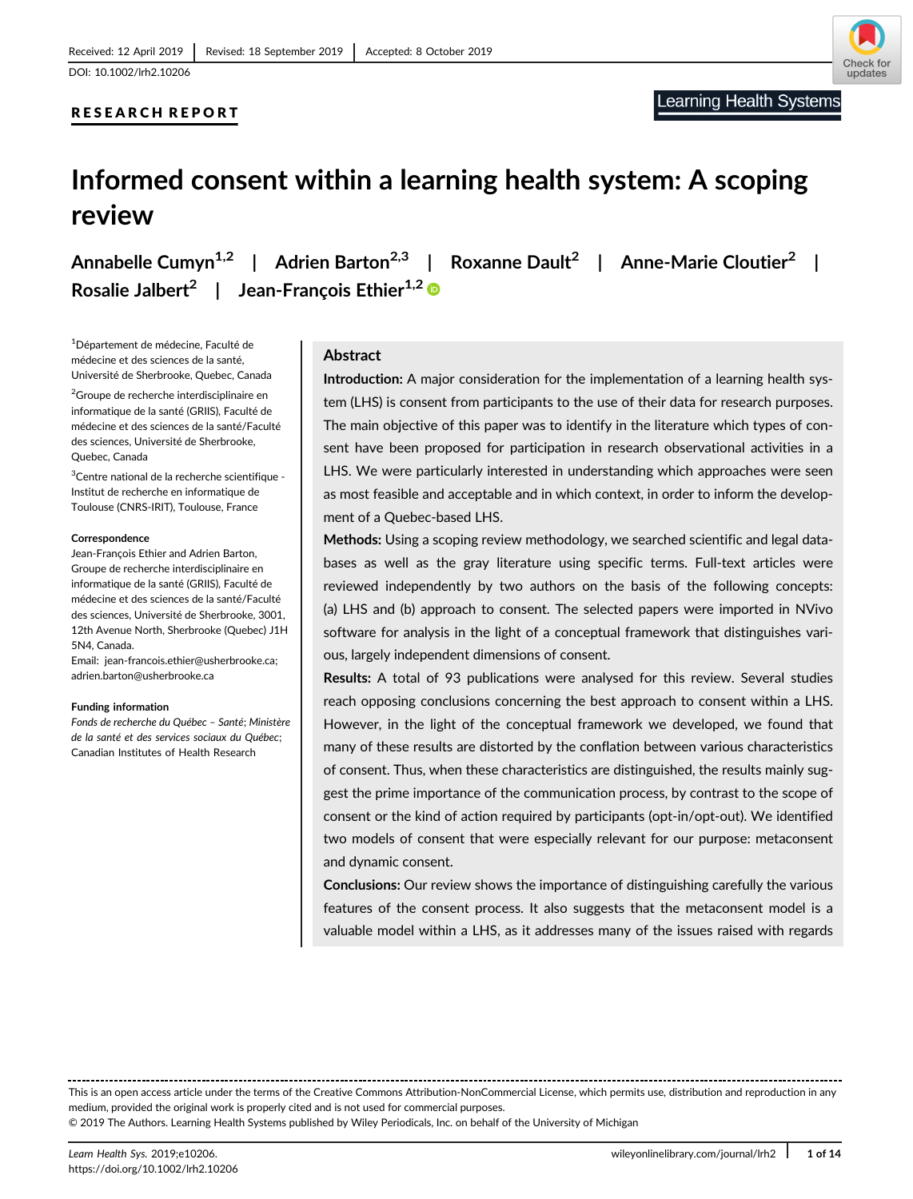# RESEARCH REPORT



# **Informed consent within a learning health system: A scoping review**

**Annabelle Cumyn1,2 | Adrien Barton2,3 | Roxanne Dault<sup>2</sup> | Anne-Marie Cloutier<sup>2</sup> | Rosalie Jalbert2 | Jean-François Ethier1,2**

1 Département de médecine, Faculté de médecine et des sciences de la santé, Université de Sherbrooke, Quebec, Canada

<sup>2</sup>Groupe de recherche interdisciplinaire en informatique de la santé (GRIIS), Faculté de médecine et des sciences de la santé/Faculté des sciences, Université de Sherbrooke, Quebec, Canada

3 Centre national de la recherche scientifique - Institut de recherche en informatique de Toulouse (CNRS-IRIT), Toulouse, France

#### **Correspondence**

Jean-François Ethier and Adrien Barton, Groupe de recherche interdisciplinaire en informatique de la santé (GRIIS), Faculté de médecine et des sciences de la santé/Faculté des sciences, Université de Sherbrooke, 3001, 12th Avenue North, Sherbrooke (Quebec) J1H 5N4, Canada.

Email: [jean-francois.ethier@usherbrooke.ca](mailto:jean-francois.ethier@usherbrooke.ca); [adrien.barton@usherbrooke.ca](mailto:adrien.barton@usherbrooke.ca)

#### **Funding information**

*Fonds de recherche du Québec – Santé*; *Ministère de la santé et des services sociaux du Québec*; Canadian Institutes of Health Research

# **Abstract**

**Introduction:** A major consideration for the implementation of a learning health system (LHS) is consent from participants to the use of their data for research purposes. The main objective of this paper was to identify in the literature which types of consent have been proposed for participation in research observational activities in a LHS. We were particularly interested in understanding which approaches were seen as most feasible and acceptable and in which context, in order to inform the development of a Quebec-based LHS.

**Methods:** Using a scoping review methodology, we searched scientific and legal databases as well as the gray literature using specific terms. Full-text articles were reviewed independently by two authors on the basis of the following concepts: (a) LHS and (b) approach to consent. The selected papers were imported in NVivo software for analysis in the light of a conceptual framework that distinguishes various, largely independent dimensions of consent.

**Results:** A total of 93 publications were analysed for this review. Several studies reach opposing conclusions concerning the best approach to consent within a LHS. However, in the light of the conceptual framework we developed, we found that many of these results are distorted by the conflation between various characteristics of consent. Thus, when these characteristics are distinguished, the results mainly suggest the prime importance of the communication process, by contrast to the scope of consent or the kind of action required by participants (opt-in/opt-out). We identified two models of consent that were especially relevant for our purpose: metaconsent and dynamic consent.

**Conclusions:** Our review shows the importance of distinguishing carefully the various features of the consent process. It also suggests that the metaconsent model is a valuable model within a LHS, as it addresses many of the issues raised with regards

This is an open access article under the terms of the [Creative Commons Attribution-NonCommercial](http://creativecommons.org/licenses/by-nc/4.0/) License, which permits use, distribution and reproduction in any medium, provided the original work is properly cited and is not used for commercial purposes.

© 2019 The Authors. Learning Health Systems published by Wiley Periodicals, Inc. on behalf of the University of Michigan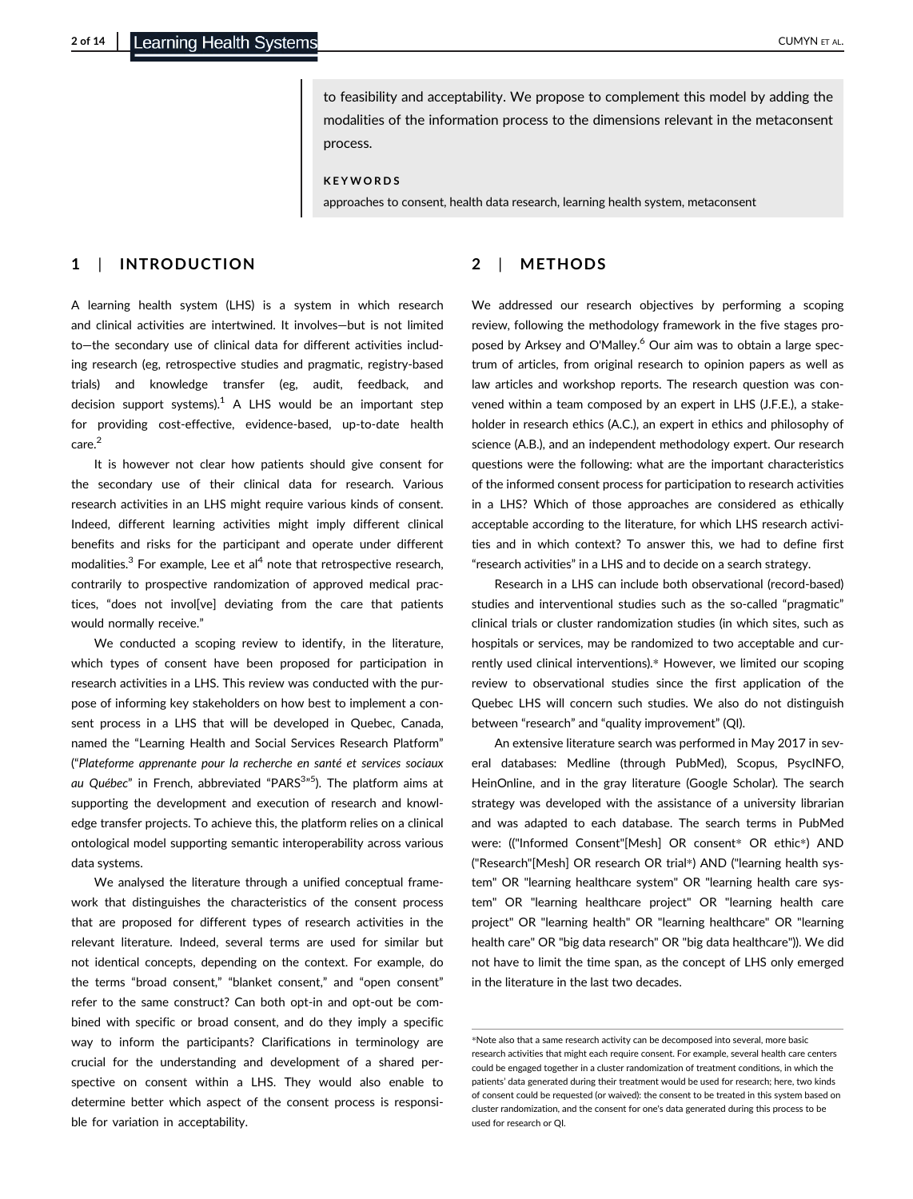to feasibility and acceptability. We propose to complement this model by adding the modalities of the information process to the dimensions relevant in the metaconsent process.

#### **KEYWORDS**

approaches to consent, health data research, learning health system, metaconsent

# **1** | **INTRODUCTION**

A learning health system (LHS) is a system in which research and clinical activities are intertwined. It involves—but is not limited to—the secondary use of clinical data for different activities including research (eg, retrospective studies and pragmatic, registry-based trials) and knowledge transfer (eg, audit, feedback, and decision support systems). $1$  A LHS would be an important step for providing cost-effective, evidence-based, up-to-date health care.<sup>2</sup>

It is however not clear how patients should give consent for the secondary use of their clinical data for research. Various research activities in an LHS might require various kinds of consent. Indeed, different learning activities might imply different clinical benefits and risks for the participant and operate under different modalities. $3$  For example, Lee et al<sup>4</sup> note that retrospective research, contrarily to prospective randomization of approved medical practices, "does not invol[ve] deviating from the care that patients would normally receive."

We conducted a scoping review to identify, in the literature, which types of consent have been proposed for participation in research activities in a LHS. This review was conducted with the purpose of informing key stakeholders on how best to implement a consent process in a LHS that will be developed in Quebec, Canada, named the "Learning Health and Social Services Research Platform" ("*Plateforme apprenante pour la recherche en santé et services sociaux* au Québec" in French, abbreviated "PARS<sup>3</sup>"<sup>5</sup>). The platform aims at supporting the development and execution of research and knowledge transfer projects. To achieve this, the platform relies on a clinical ontological model supporting semantic interoperability across various data systems.

We analysed the literature through a unified conceptual framework that distinguishes the characteristics of the consent process that are proposed for different types of research activities in the relevant literature. Indeed, several terms are used for similar but not identical concepts, depending on the context. For example, do the terms "broad consent," "blanket consent," and "open consent" refer to the same construct? Can both opt-in and opt-out be combined with specific or broad consent, and do they imply a specific way to inform the participants? Clarifications in terminology are crucial for the understanding and development of a shared perspective on consent within a LHS. They would also enable to determine better which aspect of the consent process is responsible for variation in acceptability.

# **2** | **METHODS**

We addressed our research objectives by performing a scoping review, following the methodology framework in the five stages proposed by Arksey and O'Malley.<sup>6</sup> Our aim was to obtain a large spectrum of articles, from original research to opinion papers as well as law articles and workshop reports. The research question was convened within a team composed by an expert in LHS (J.F.E.), a stakeholder in research ethics (A.C.), an expert in ethics and philosophy of science (A.B.), and an independent methodology expert. Our research questions were the following: what are the important characteristics of the informed consent process for participation to research activities in a LHS? Which of those approaches are considered as ethically acceptable according to the literature, for which LHS research activities and in which context? To answer this, we had to define first "research activities" in a LHS and to decide on a search strategy.

Research in a LHS can include both observational (record-based) studies and interventional studies such as the so-called "pragmatic" clinical trials or cluster randomization studies (in which sites, such as hospitals or services, may be randomized to two acceptable and currently used clinical interventions).\* However, we limited our scoping review to observational studies since the first application of the Quebec LHS will concern such studies. We also do not distinguish between "research" and "quality improvement" (QI).

An extensive literature search was performed in May 2017 in several databases: Medline (through PubMed), Scopus, PsycINFO, HeinOnline, and in the gray literature (Google Scholar). The search strategy was developed with the assistance of a university librarian and was adapted to each database. The search terms in PubMed were: (("Informed Consent"[Mesh] OR consent\* OR ethic\*) AND ("Research"[Mesh] OR research OR trial\*) AND ("learning health system" OR "learning healthcare system" OR "learning health care system" OR "learning healthcare project" OR "learning health care project" OR "learning health" OR "learning healthcare" OR "learning health care" OR "big data research" OR "big data healthcare")). We did not have to limit the time span, as the concept of LHS only emerged in the literature in the last two decades.

<sup>\*</sup>Note also that a same research activity can be decomposed into several, more basic research activities that might each require consent. For example, several health care centers could be engaged together in a cluster randomization of treatment conditions, in which the patients' data generated during their treatment would be used for research; here, two kinds of consent could be requested (or waived): the consent to be treated in this system based on cluster randomization, and the consent for one's data generated during this process to be used for research or QI.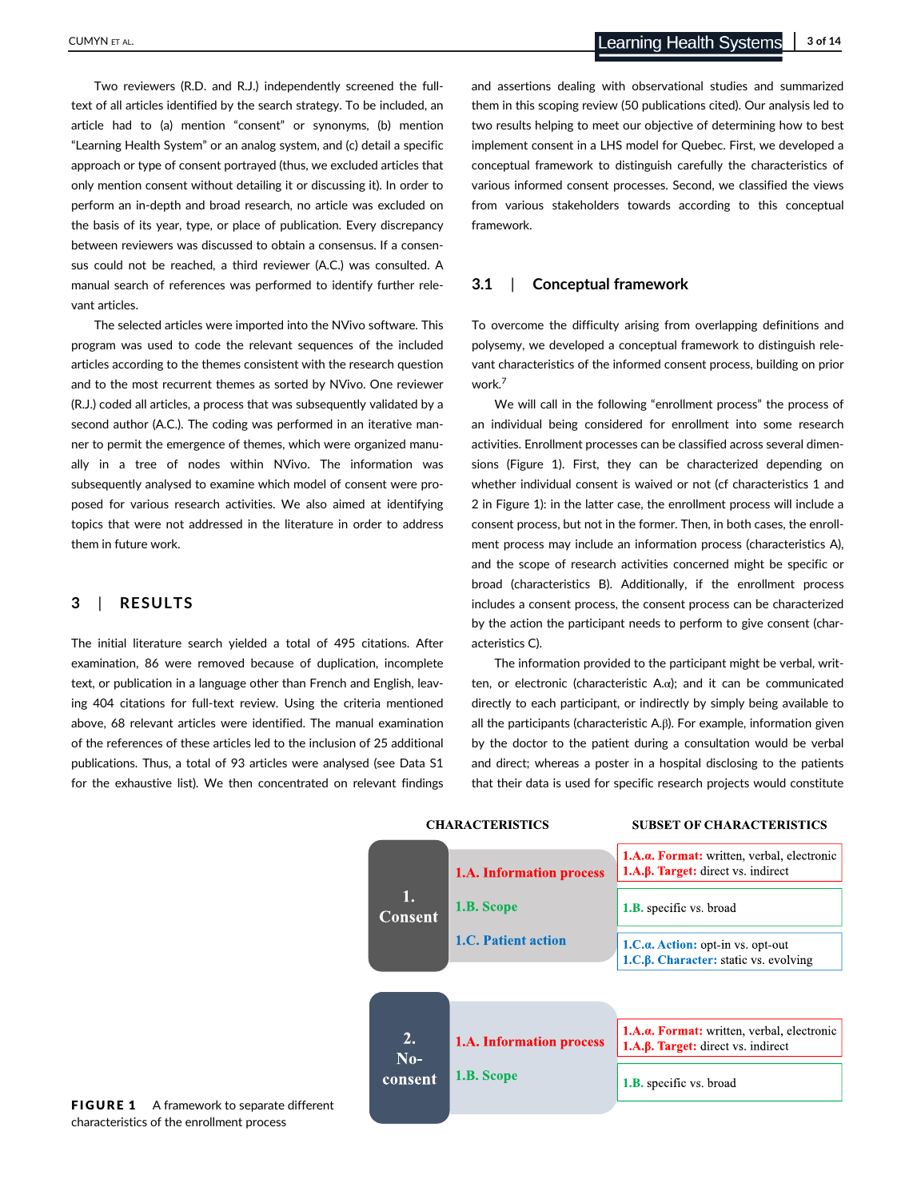Two reviewers (R.D. and R.J.) independently screened the fulltext of all articles identified by the search strategy. To be included, an article had to (a) mention "consent" or synonyms, (b) mention "Learning Health System" or an analog system, and (c) detail a specific approach or type of consent portrayed (thus, we excluded articles that only mention consent without detailing it or discussing it). In order to perform an in-depth and broad research, no article was excluded on the basis of its year, type, or place of publication. Every discrepancy between reviewers was discussed to obtain a consensus. If a consensus could not be reached, a third reviewer (A.C.) was consulted. A manual search of references was performed to identify further relevant articles.

The selected articles were imported into the NVivo software. This program was used to code the relevant sequences of the included articles according to the themes consistent with the research question and to the most recurrent themes as sorted by NVivo. One reviewer (R.J.) coded all articles, a process that was subsequently validated by a second author (A.C.). The coding was performed in an iterative manner to permit the emergence of themes, which were organized manually in a tree of nodes within NVivo. The information was subsequently analysed to examine which model of consent were proposed for various research activities. We also aimed at identifying topics that were not addressed in the literature in order to address them in future work.

# **3** | **RESULTS**

The initial literature search yielded a total of 495 citations. After examination, 86 were removed because of duplication, incomplete text, or publication in a language other than French and English, leaving 404 citations for full-text review. Using the criteria mentioned above, 68 relevant articles were identified. The manual examination of the references of these articles led to the inclusion of 25 additional publications. Thus, a total of 93 articles were analysed (see Data S1 for the exhaustive list). We then concentrated on relevant findings and assertions dealing with observational studies and summarized them in this scoping review (50 publications cited). Our analysis led to two results helping to meet our objective of determining how to best implement consent in a LHS model for Quebec. First, we developed a conceptual framework to distinguish carefully the characteristics of various informed consent processes. Second, we classified the views from various stakeholders towards according to this conceptual framework.

## **3.1** | **Conceptual framework**

To overcome the difficulty arising from overlapping definitions and polysemy, we developed a conceptual framework to distinguish relevant characteristics of the informed consent process, building on prior work.<sup>7</sup>

We will call in the following "enrollment process" the process of an individual being considered for enrollment into some research activities. Enrollment processes can be classified across several dimensions (Figure 1). First, they can be characterized depending on whether individual consent is waived or not (cf characteristics 1 and 2 in Figure 1): in the latter case, the enrollment process will include a consent process, but not in the former. Then, in both cases, the enrollment process may include an information process (characteristics A), and the scope of research activities concerned might be specific or broad (characteristics B). Additionally, if the enrollment process includes a consent process, the consent process can be characterized by the action the participant needs to perform to give consent (characteristics C).

The information provided to the participant might be verbal, written, or electronic (characteristic A.α); and it can be communicated directly to each participant, or indirectly by simply being available to all the participants (characteristic A.β). For example, information given by the doctor to the patient during a consultation would be verbal and direct; whereas a poster in a hospital disclosing to the patients that their data is used for specific research projects would constitute

| <b>CHARACTERISTICS</b> |                                 | <b>SUBSET OF CHARACTERISTICS</b>                                                               |
|------------------------|---------------------------------|------------------------------------------------------------------------------------------------|
|                        | <b>1.A. Information process</b> | <b>1.A.a. Format:</b> written, verbal, electronic<br><b>1.A.β. Target:</b> direct vs. indirect |
| 1.<br><b>Consent</b>   | 1.B. Scope                      | <b>1.B.</b> specific vs. broad                                                                 |
|                        | <b>1.C. Patient action</b>      | $1.C.a.$ Action: opt-in vs. opt-out<br>1.C.B. Character: static vs. evolving                   |
|                        |                                 |                                                                                                |
| 2.<br>$No-$<br>consent | <b>1.A. Information process</b> | <b>1.A.a. Format:</b> written, verbal, electronic<br><b>1.A.B. Target:</b> direct vs. indirect |
|                        | 1.B. Scope                      | <b>1.B.</b> specific vs. broad                                                                 |

FIGURE 1 A framework to separate different characteristics of the enrollment process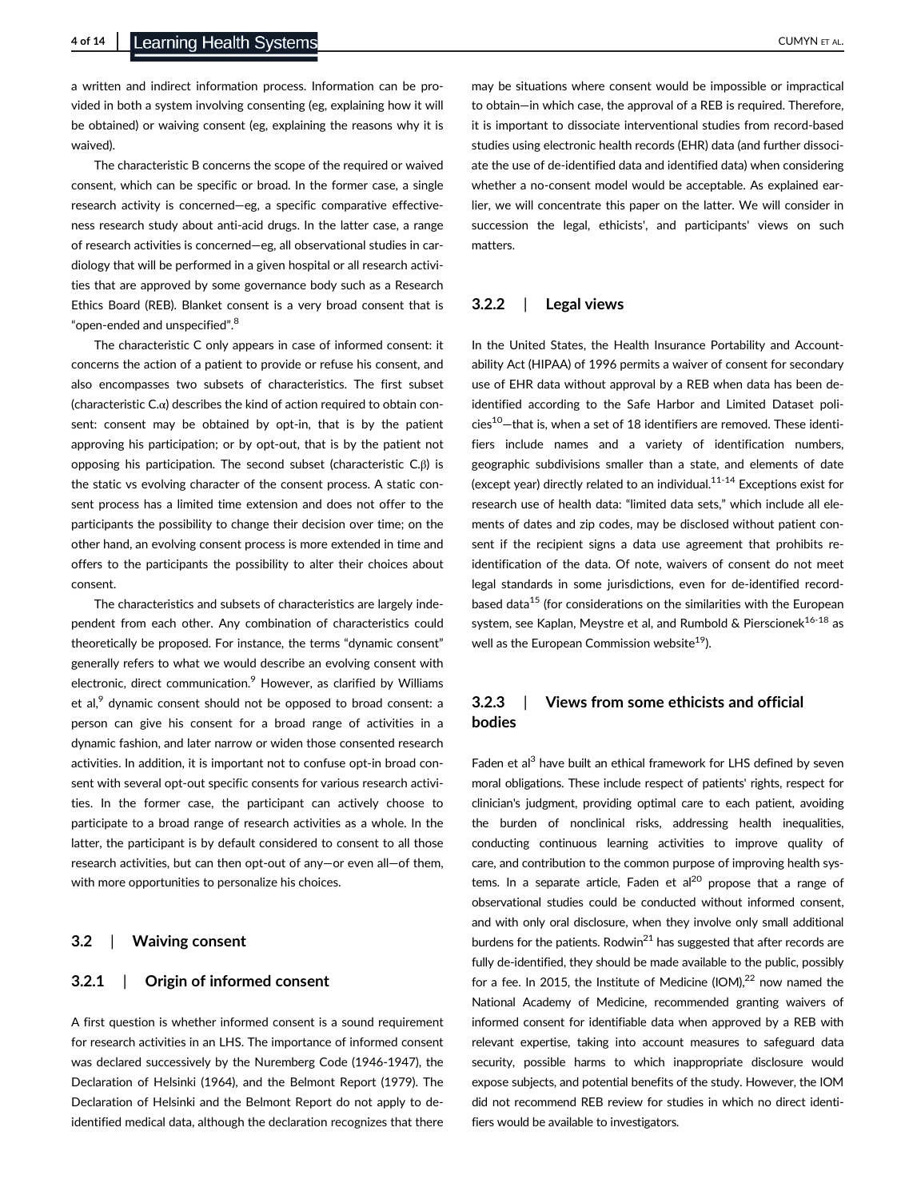a written and indirect information process. Information can be provided in both a system involving consenting (eg, explaining how it will be obtained) or waiving consent (eg, explaining the reasons why it is waived).

The characteristic B concerns the scope of the required or waived consent, which can be specific or broad. In the former case, a single research activity is concerned—eg, a specific comparative effectiveness research study about anti-acid drugs. In the latter case, a range of research activities is concerned—eg, all observational studies in cardiology that will be performed in a given hospital or all research activities that are approved by some governance body such as a Research Ethics Board (REB). Blanket consent is a very broad consent that is "open-ended and unspecified". 8

The characteristic C only appears in case of informed consent: it concerns the action of a patient to provide or refuse his consent, and also encompasses two subsets of characteristics. The first subset (characteristic C.α) describes the kind of action required to obtain consent: consent may be obtained by opt-in, that is by the patient approving his participation; or by opt-out, that is by the patient not opposing his participation. The second subset (characteristic C.β) is the static vs evolving character of the consent process. A static consent process has a limited time extension and does not offer to the participants the possibility to change their decision over time; on the other hand, an evolving consent process is more extended in time and offers to the participants the possibility to alter their choices about consent.

The characteristics and subsets of characteristics are largely independent from each other. Any combination of characteristics could theoretically be proposed. For instance, the terms "dynamic consent" generally refers to what we would describe an evolving consent with electronic, direct communication. $9$  However, as clarified by Williams et al, $9$  dynamic consent should not be opposed to broad consent: a person can give his consent for a broad range of activities in a dynamic fashion, and later narrow or widen those consented research activities. In addition, it is important not to confuse opt-in broad consent with several opt-out specific consents for various research activities. In the former case, the participant can actively choose to participate to a broad range of research activities as a whole. In the latter, the participant is by default considered to consent to all those research activities, but can then opt-out of any—or even all—of them, with more opportunities to personalize his choices.

## **3.2** | **Waiving consent**

## **3.2.1** | **Origin of informed consent**

A first question is whether informed consent is a sound requirement for research activities in an LHS. The importance of informed consent was declared successively by the Nuremberg Code (1946-1947), the Declaration of Helsinki (1964), and the Belmont Report (1979). The Declaration of Helsinki and the Belmont Report do not apply to deidentified medical data, although the declaration recognizes that there may be situations where consent would be impossible or impractical to obtain—in which case, the approval of a REB is required. Therefore, it is important to dissociate interventional studies from record-based studies using electronic health records (EHR) data (and further dissociate the use of de-identified data and identified data) when considering whether a no-consent model would be acceptable. As explained earlier, we will concentrate this paper on the latter. We will consider in succession the legal, ethicists', and participants' views on such matters.

## **3.2.2** | **Legal views**

In the United States, the Health Insurance Portability and Accountability Act (HIPAA) of 1996 permits a waiver of consent for secondary use of EHR data without approval by a REB when data has been deidentified according to the Safe Harbor and Limited Dataset poli $cies<sup>10</sup>$ -that is, when a set of 18 identifiers are removed. These identifiers include names and a variety of identification numbers, geographic subdivisions smaller than a state, and elements of date (except year) directly related to an individual. $11-14$  Exceptions exist for research use of health data: "limited data sets," which include all elements of dates and zip codes, may be disclosed without patient consent if the recipient signs a data use agreement that prohibits reidentification of the data. Of note, waivers of consent do not meet legal standards in some jurisdictions, even for de-identified recordbased data<sup>15</sup> (for considerations on the similarities with the European system, see Kaplan, Meystre et al, and Rumbold & Pierscionek<sup>16-18</sup> as well as the European Commission website<sup>19</sup>).

# **3.2.3** | **Views from some ethicists and official bodies**

Faden et al<sup>3</sup> have built an ethical framework for LHS defined by seven moral obligations. These include respect of patients' rights, respect for clinician's judgment, providing optimal care to each patient, avoiding the burden of nonclinical risks, addressing health inequalities, conducting continuous learning activities to improve quality of care, and contribution to the common purpose of improving health systems. In a separate article, Faden et al $^{20}$  propose that a range of observational studies could be conducted without informed consent, and with only oral disclosure, when they involve only small additional burdens for the patients. Rodwin $^{21}$  has suggested that after records are fully de-identified, they should be made available to the public, possibly for a fee. In 2015, the Institute of Medicine (IOM), $^{22}$  now named the National Academy of Medicine, recommended granting waivers of informed consent for identifiable data when approved by a REB with relevant expertise, taking into account measures to safeguard data security, possible harms to which inappropriate disclosure would expose subjects, and potential benefits of the study. However, the IOM did not recommend REB review for studies in which no direct identifiers would be available to investigators.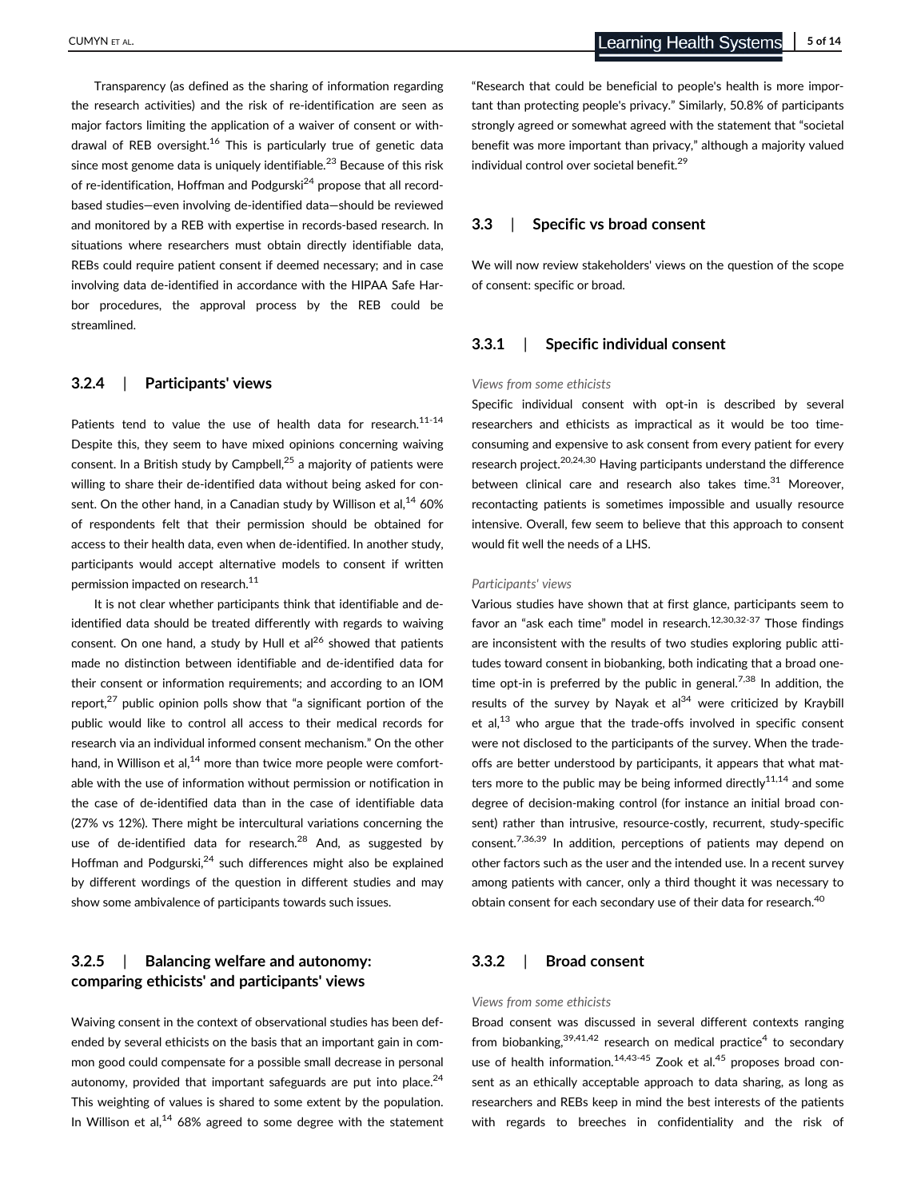Transparency (as defined as the sharing of information regarding the research activities) and the risk of re-identification are seen as major factors limiting the application of a waiver of consent or withdrawal of REB oversight.<sup>16</sup> This is particularly true of genetic data since most genome data is uniquely identifiable.<sup>23</sup> Because of this risk of re-identification, Hoffman and Podgurski<sup>24</sup> propose that all recordbased studies—even involving de-identified data—should be reviewed and monitored by a REB with expertise in records-based research. In situations where researchers must obtain directly identifiable data, REBs could require patient consent if deemed necessary; and in case involving data de-identified in accordance with the HIPAA Safe Harbor procedures, the approval process by the REB could be streamlined.

# **3.2.4** | **Participants' views**

Patients tend to value the use of health data for research.<sup>11-14</sup> Despite this, they seem to have mixed opinions concerning waiving consent. In a British study by Campbell, $^{25}$  a majority of patients were willing to share their de-identified data without being asked for consent. On the other hand, in a Canadian study by Willison et al, $^{14}$  60% of respondents felt that their permission should be obtained for access to their health data, even when de-identified. In another study, participants would accept alternative models to consent if written permission impacted on research.<sup>11</sup>

It is not clear whether participants think that identifiable and deidentified data should be treated differently with regards to waiving consent. On one hand, a study by Hull et  $al^{26}$  showed that patients made no distinction between identifiable and de-identified data for their consent or information requirements; and according to an IOM report, $27$  public opinion polls show that "a significant portion of the public would like to control all access to their medical records for research via an individual informed consent mechanism." On the other hand, in Willison et al, $^{14}$  more than twice more people were comfortable with the use of information without permission or notification in the case of de-identified data than in the case of identifiable data (27% vs 12%). There might be intercultural variations concerning the use of de-identified data for research. $^{28}$  And, as suggested by Hoffman and Podgurski,<sup>24</sup> such differences might also be explained by different wordings of the question in different studies and may show some ambivalence of participants towards such issues.

# **3.2.5** | **Balancing welfare and autonomy: comparing ethicists' and participants' views**

Waiving consent in the context of observational studies has been defended by several ethicists on the basis that an important gain in common good could compensate for a possible small decrease in personal autonomy, provided that important safeguards are put into place. $24$ This weighting of values is shared to some extent by the population. In Willison et al, $14$  68% agreed to some degree with the statement "Research that could be beneficial to people's health is more important than protecting people's privacy." Similarly, 50.8% of participants strongly agreed or somewhat agreed with the statement that "societal benefit was more important than privacy," although a majority valued individual control over societal benefit.<sup>29</sup>

## **3.3** | **Specific vs broad consent**

We will now review stakeholders' views on the question of the scope of consent: specific or broad.

## **3.3.1** | **Specific individual consent**

#### *Views from some ethicists*

Specific individual consent with opt-in is described by several researchers and ethicists as impractical as it would be too timeconsuming and expensive to ask consent from every patient for every research project.20,24,30 Having participants understand the difference between clinical care and research also takes time.<sup>31</sup> Moreover, recontacting patients is sometimes impossible and usually resource intensive. Overall, few seem to believe that this approach to consent would fit well the needs of a LHS.

#### *Participants' views*

Various studies have shown that at first glance, participants seem to favor an "ask each time" model in research. $12,30,32-37$  Those findings are inconsistent with the results of two studies exploring public attitudes toward consent in biobanking, both indicating that a broad onetime opt-in is preferred by the public in general.<sup>7,38</sup> In addition, the results of the survey by Nayak et al $^{34}$  were criticized by Kraybill et al, $^{13}$  who argue that the trade-offs involved in specific consent were not disclosed to the participants of the survey. When the tradeoffs are better understood by participants, it appears that what matters more to the public may be being informed directly $11,14$  and some degree of decision-making control (for instance an initial broad consent) rather than intrusive, resource-costly, recurrent, study-specific consent.7,36,39 In addition, perceptions of patients may depend on other factors such as the user and the intended use. In a recent survey among patients with cancer, only a third thought it was necessary to obtain consent for each secondary use of their data for research.<sup>40</sup>

### **3.3.2** | **Broad consent**

#### *Views from some ethicists*

Broad consent was discussed in several different contexts ranging from biobanking,  $39,41,42$  research on medical practice<sup>4</sup> to secondary use of health information.<sup>14,43-45</sup> Zook et al.<sup>45</sup> proposes broad consent as an ethically acceptable approach to data sharing, as long as researchers and REBs keep in mind the best interests of the patients with regards to breeches in confidentiality and the risk of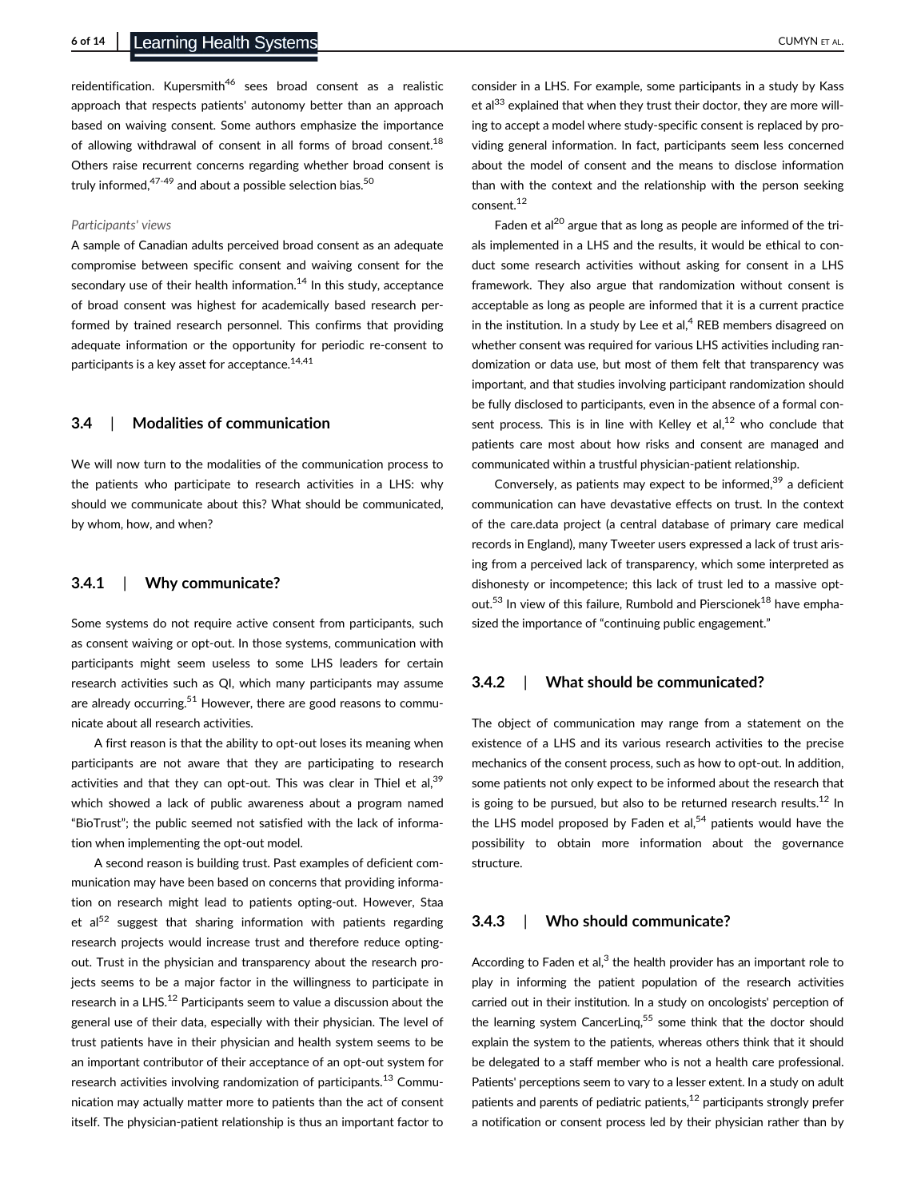reidentification. Kupersmith<sup>46</sup> sees broad consent as a realistic approach that respects patients' autonomy better than an approach based on waiving consent. Some authors emphasize the importance of allowing withdrawal of consent in all forms of broad consent.<sup>18</sup> Others raise recurrent concerns regarding whether broad consent is truly informed.<sup>47-49</sup> and about a possible selection bias.<sup>50</sup>

#### *Participants' views*

A sample of Canadian adults perceived broad consent as an adequate compromise between specific consent and waiving consent for the secondary use of their health information. $14$  In this study, acceptance of broad consent was highest for academically based research performed by trained research personnel. This confirms that providing adequate information or the opportunity for periodic re-consent to participants is a key asset for acceptance.  $14,41$ 

## **3.4** | **Modalities of communication**

We will now turn to the modalities of the communication process to the patients who participate to research activities in a LHS: why should we communicate about this? What should be communicated, by whom, how, and when?

## **3.4.1** | **Why communicate?**

Some systems do not require active consent from participants, such as consent waiving or opt-out. In those systems, communication with participants might seem useless to some LHS leaders for certain research activities such as QI, which many participants may assume are already occurring.<sup>51</sup> However, there are good reasons to communicate about all research activities.

A first reason is that the ability to opt-out loses its meaning when participants are not aware that they are participating to research activities and that they can opt-out. This was clear in Thiel et al,  $39$ which showed a lack of public awareness about a program named "BioTrust"; the public seemed not satisfied with the lack of information when implementing the opt-out model.

A second reason is building trust. Past examples of deficient communication may have been based on concerns that providing information on research might lead to patients opting-out. However, Staa et al $52$  suggest that sharing information with patients regarding research projects would increase trust and therefore reduce optingout. Trust in the physician and transparency about the research projects seems to be a major factor in the willingness to participate in research in a LHS.<sup>12</sup> Participants seem to value a discussion about the general use of their data, especially with their physician. The level of trust patients have in their physician and health system seems to be an important contributor of their acceptance of an opt-out system for research activities involving randomization of participants.<sup>13</sup> Communication may actually matter more to patients than the act of consent itself. The physician-patient relationship is thus an important factor to

consider in a LHS. For example, some participants in a study by Kass et al $^{33}$  explained that when they trust their doctor, they are more willing to accept a model where study-specific consent is replaced by providing general information. In fact, participants seem less concerned about the model of consent and the means to disclose information than with the context and the relationship with the person seeking consent.<sup>12</sup>

Faden et al<sup>20</sup> argue that as long as people are informed of the trials implemented in a LHS and the results, it would be ethical to conduct some research activities without asking for consent in a LHS framework. They also argue that randomization without consent is acceptable as long as people are informed that it is a current practice in the institution. In a study by Lee et al, $4$  REB members disagreed on whether consent was required for various LHS activities including randomization or data use, but most of them felt that transparency was important, and that studies involving participant randomization should be fully disclosed to participants, even in the absence of a formal consent process. This is in line with Kelley et al, $^{12}$  who conclude that patients care most about how risks and consent are managed and communicated within a trustful physician-patient relationship.

Conversely, as patients may expect to be informed, $39$  a deficient communication can have devastative effects on trust. In the context of the care.data project (a central database of primary care medical records in England), many Tweeter users expressed a lack of trust arising from a perceived lack of transparency, which some interpreted as dishonesty or incompetence; this lack of trust led to a massive optout.<sup>53</sup> In view of this failure, Rumbold and Pierscionek<sup>18</sup> have emphasized the importance of "continuing public engagement."

# **3.4.2** | **What should be communicated?**

The object of communication may range from a statement on the existence of a LHS and its various research activities to the precise mechanics of the consent process, such as how to opt-out. In addition, some patients not only expect to be informed about the research that is going to be pursued, but also to be returned research results.<sup>12</sup> In the LHS model proposed by Faden et al, $54$  patients would have the possibility to obtain more information about the governance structure.

## **3.4.3** | **Who should communicate?**

According to Faden et al, $3$  the health provider has an important role to play in informing the patient population of the research activities carried out in their institution. In a study on oncologists' perception of the learning system CancerLing,<sup>55</sup> some think that the doctor should explain the system to the patients, whereas others think that it should be delegated to a staff member who is not a health care professional. Patients' perceptions seem to vary to a lesser extent. In a study on adult patients and parents of pediatric patients, $12$  participants strongly prefer a notification or consent process led by their physician rather than by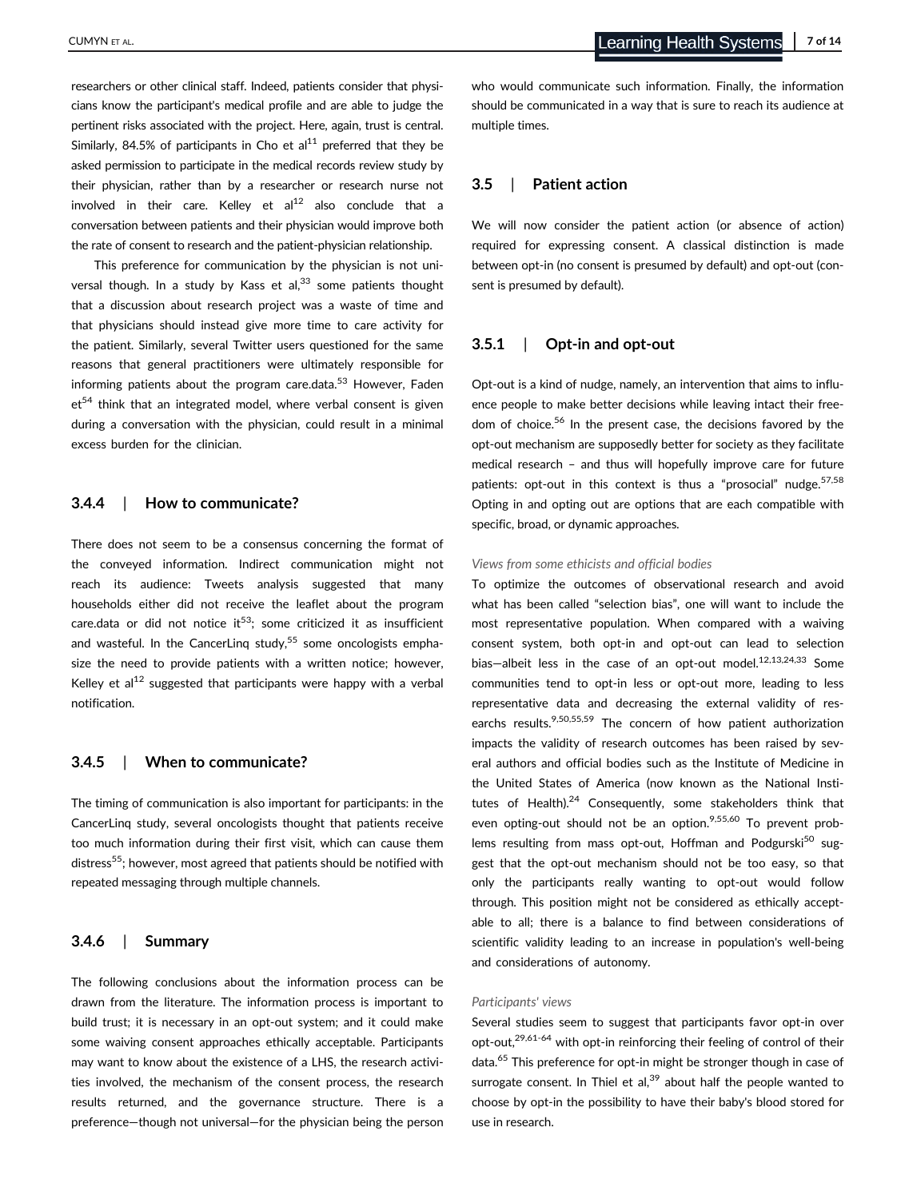CUMYN ET AL. *CUMYN* ET AL. *CUMYN* ET AL.

researchers or other clinical staff. Indeed, patients consider that physicians know the participant's medical profile and are able to judge the pertinent risks associated with the project. Here, again, trust is central. Similarly, 84.5% of participants in Cho et al $^{11}$  preferred that they be asked permission to participate in the medical records review study by their physician, rather than by a researcher or research nurse not involved in their care. Kelley et  $al<sup>12</sup>$  also conclude that a conversation between patients and their physician would improve both the rate of consent to research and the patient-physician relationship.

This preference for communication by the physician is not universal though. In a study by Kass et al, $33$  some patients thought that a discussion about research project was a waste of time and that physicians should instead give more time to care activity for the patient. Similarly, several Twitter users questioned for the same reasons that general practitioners were ultimately responsible for informing patients about the program care.data.<sup>53</sup> However, Faden  $et<sup>54</sup>$  think that an integrated model, where verbal consent is given during a conversation with the physician, could result in a minimal excess burden for the clinician.

## **3.4.4** | **How to communicate?**

There does not seem to be a consensus concerning the format of the conveyed information. Indirect communication might not reach its audience: Tweets analysis suggested that many households either did not receive the leaflet about the program care.data or did not notice it<sup>53</sup>; some criticized it as insufficient and wasteful. In the CancerLing study,<sup>55</sup> some oncologists emphasize the need to provide patients with a written notice; however, Kelley et al<sup>12</sup> suggested that participants were happy with a verbal notification.

## **3.4.5** | **When to communicate?**

The timing of communication is also important for participants: in the CancerLinq study, several oncologists thought that patients receive too much information during their first visit, which can cause them distress<sup>55</sup>; however, most agreed that patients should be notified with repeated messaging through multiple channels.

#### **3.4.6** | **Summary**

The following conclusions about the information process can be drawn from the literature. The information process is important to build trust; it is necessary in an opt-out system; and it could make some waiving consent approaches ethically acceptable. Participants may want to know about the existence of a LHS, the research activities involved, the mechanism of the consent process, the research results returned, and the governance structure. There is a preference—though not universal—for the physician being the person who would communicate such information. Finally, the information should be communicated in a way that is sure to reach its audience at multiple times.

## **3.5** | **Patient action**

We will now consider the patient action (or absence of action) required for expressing consent. A classical distinction is made between opt-in (no consent is presumed by default) and opt-out (consent is presumed by default).

## **3.5.1** | **Opt-in and opt-out**

Opt-out is a kind of nudge, namely, an intervention that aims to influence people to make better decisions while leaving intact their freedom of choice.<sup>56</sup> In the present case, the decisions favored by the opt-out mechanism are supposedly better for society as they facilitate medical research – and thus will hopefully improve care for future patients: opt-out in this context is thus a "prosocial" nudge. $57,58$ Opting in and opting out are options that are each compatible with specific, broad, or dynamic approaches.

#### *Views from some ethicists and official bodies*

To optimize the outcomes of observational research and avoid what has been called "selection bias", one will want to include the most representative population. When compared with a waiving consent system, both opt-in and opt-out can lead to selection bias-albeit less in the case of an opt-out model.<sup>12,13,24,33</sup> Some communities tend to opt-in less or opt-out more, leading to less representative data and decreasing the external validity of researchs results.<sup>9,50,55,59</sup> The concern of how patient authorization impacts the validity of research outcomes has been raised by several authors and official bodies such as the Institute of Medicine in the United States of America (now known as the National Institutes of Health).<sup>24</sup> Consequently, some stakeholders think that even opting-out should not be an option.<sup>9,55,60</sup> To prevent problems resulting from mass opt-out, Hoffman and Podgurski<sup>50</sup> suggest that the opt-out mechanism should not be too easy, so that only the participants really wanting to opt-out would follow through. This position might not be considered as ethically acceptable to all; there is a balance to find between considerations of scientific validity leading to an increase in population's well-being and considerations of autonomy.

#### *Participants' views*

Several studies seem to suggest that participants favor opt-in over opt-out,<sup>29,61-64</sup> with opt-in reinforcing their feeling of control of their data.<sup>65</sup> This preference for opt-in might be stronger though in case of surrogate consent. In Thiel et al, $39$  about half the people wanted to choose by opt-in the possibility to have their baby's blood stored for use in research.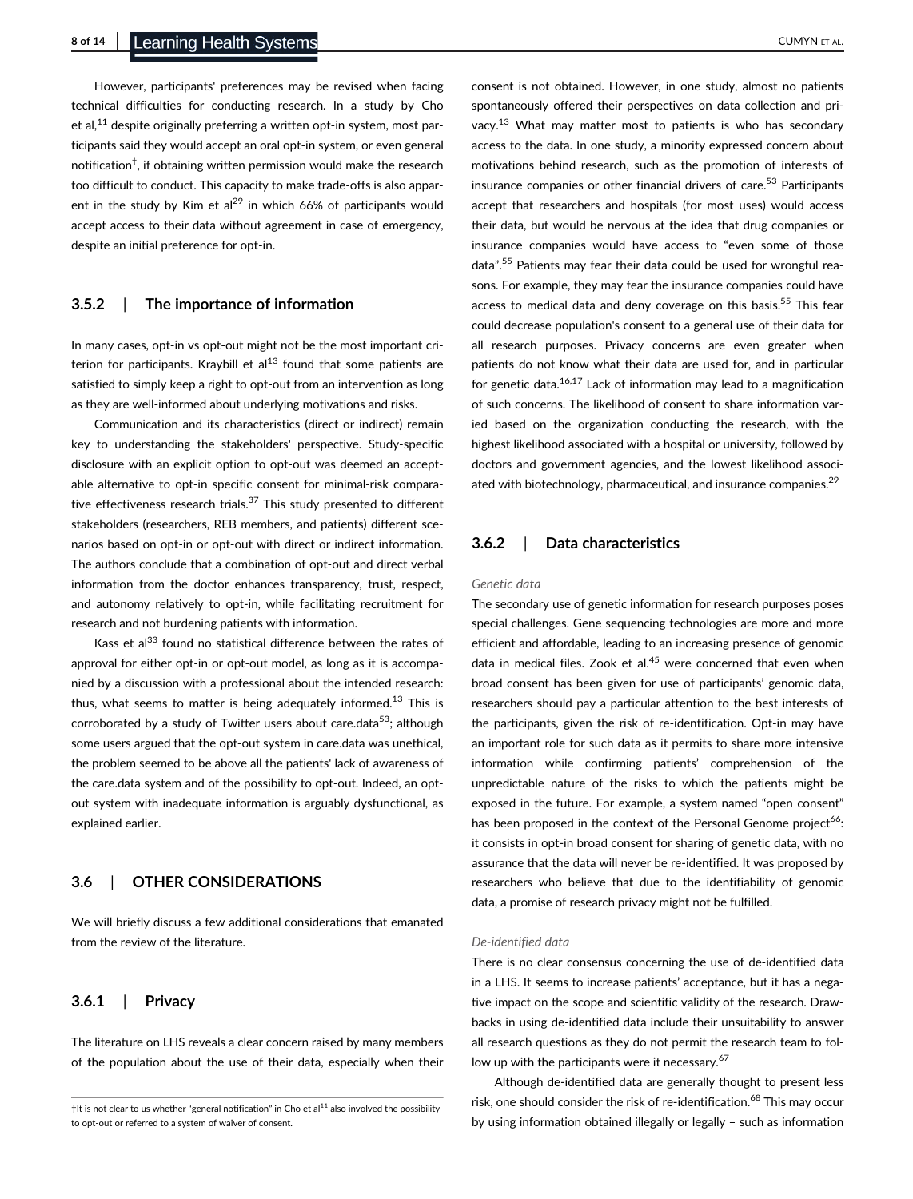However, participants' preferences may be revised when facing technical difficulties for conducting research. In a study by Cho et al, $^{11}$  despite originally preferring a written opt-in system, most participants said they would accept an oral opt-in system, or even general  $\mathsf{notification}^\dagger,$  if obtaining written permission would make the research too difficult to conduct. This capacity to make trade-offs is also apparent in the study by Kim et  $al^{29}$  in which 66% of participants would accept access to their data without agreement in case of emergency, despite an initial preference for opt-in.

## **3.5.2** | **The importance of information**

In many cases, opt-in vs opt-out might not be the most important criterion for participants. Kraybill et al $^{13}$  found that some patients are satisfied to simply keep a right to opt-out from an intervention as long as they are well-informed about underlying motivations and risks.

Communication and its characteristics (direct or indirect) remain key to understanding the stakeholders' perspective. Study-specific disclosure with an explicit option to opt-out was deemed an acceptable alternative to opt-in specific consent for minimal-risk comparative effectiveness research trials. $37$  This study presented to different stakeholders (researchers, REB members, and patients) different scenarios based on opt-in or opt-out with direct or indirect information. The authors conclude that a combination of opt-out and direct verbal information from the doctor enhances transparency, trust, respect, and autonomy relatively to opt-in, while facilitating recruitment for research and not burdening patients with information.

Kass et al<sup>33</sup> found no statistical difference between the rates of approval for either opt-in or opt-out model, as long as it is accompanied by a discussion with a professional about the intended research: thus, what seems to matter is being adequately informed.<sup>13</sup> This is corroborated by a study of Twitter users about care.data<sup>53</sup>; although some users argued that the opt-out system in care.data was unethical, the problem seemed to be above all the patients' lack of awareness of the care.data system and of the possibility to opt-out. Indeed, an optout system with inadequate information is arguably dysfunctional, as explained earlier.

# **3.6** | **OTHER CONSIDERATIONS**

We will briefly discuss a few additional considerations that emanated from the review of the literature.

# **3.6.1** | **Privacy**

The literature on LHS reveals a clear concern raised by many members of the population about the use of their data, especially when their consent is not obtained. However, in one study, almost no patients spontaneously offered their perspectives on data collection and privacy.<sup>13</sup> What may matter most to patients is who has secondary access to the data. In one study, a minority expressed concern about motivations behind research, such as the promotion of interests of insurance companies or other financial drivers of care.<sup>53</sup> Participants accept that researchers and hospitals (for most uses) would access their data, but would be nervous at the idea that drug companies or insurance companies would have access to "even some of those data". <sup>55</sup> Patients may fear their data could be used for wrongful reasons. For example, they may fear the insurance companies could have access to medical data and deny coverage on this basis.<sup>55</sup> This fear could decrease population's consent to a general use of their data for all research purposes. Privacy concerns are even greater when patients do not know what their data are used for, and in particular for genetic data. $16,17$  Lack of information may lead to a magnification of such concerns. The likelihood of consent to share information varied based on the organization conducting the research, with the highest likelihood associated with a hospital or university, followed by doctors and government agencies, and the lowest likelihood associated with biotechnology, pharmaceutical, and insurance companies.<sup>29</sup>

## **3.6.2** | **Data characteristics**

#### *Genetic data*

The secondary use of genetic information for research purposes poses special challenges. Gene sequencing technologies are more and more efficient and affordable, leading to an increasing presence of genomic data in medical files. Zook et al. $45$  were concerned that even when broad consent has been given for use of participants' genomic data, researchers should pay a particular attention to the best interests of the participants, given the risk of re-identification. Opt-in may have an important role for such data as it permits to share more intensive information while confirming patients' comprehension of the unpredictable nature of the risks to which the patients might be exposed in the future. For example, a system named "open consent" has been proposed in the context of the Personal Genome project<sup>66</sup>: it consists in opt-in broad consent for sharing of genetic data, with no assurance that the data will never be re-identified. It was proposed by researchers who believe that due to the identifiability of genomic data, a promise of research privacy might not be fulfilled.

#### *De-identified data*

There is no clear consensus concerning the use of de-identified data in a LHS. It seems to increase patients' acceptance, but it has a negative impact on the scope and scientific validity of the research. Drawbacks in using de-identified data include their unsuitability to answer all research questions as they do not permit the research team to follow up with the participants were it necessary.<sup>67</sup>

Although de-identified data are generally thought to present less risk, one should consider the risk of re-identification.<sup>68</sup> This may occur by using information obtained illegally or legally – such as information

 $\dagger$ It is not clear to us whether "general notification" in Cho et al $^{11}$  also involved the possibility to opt-out or referred to a system of waiver of consent.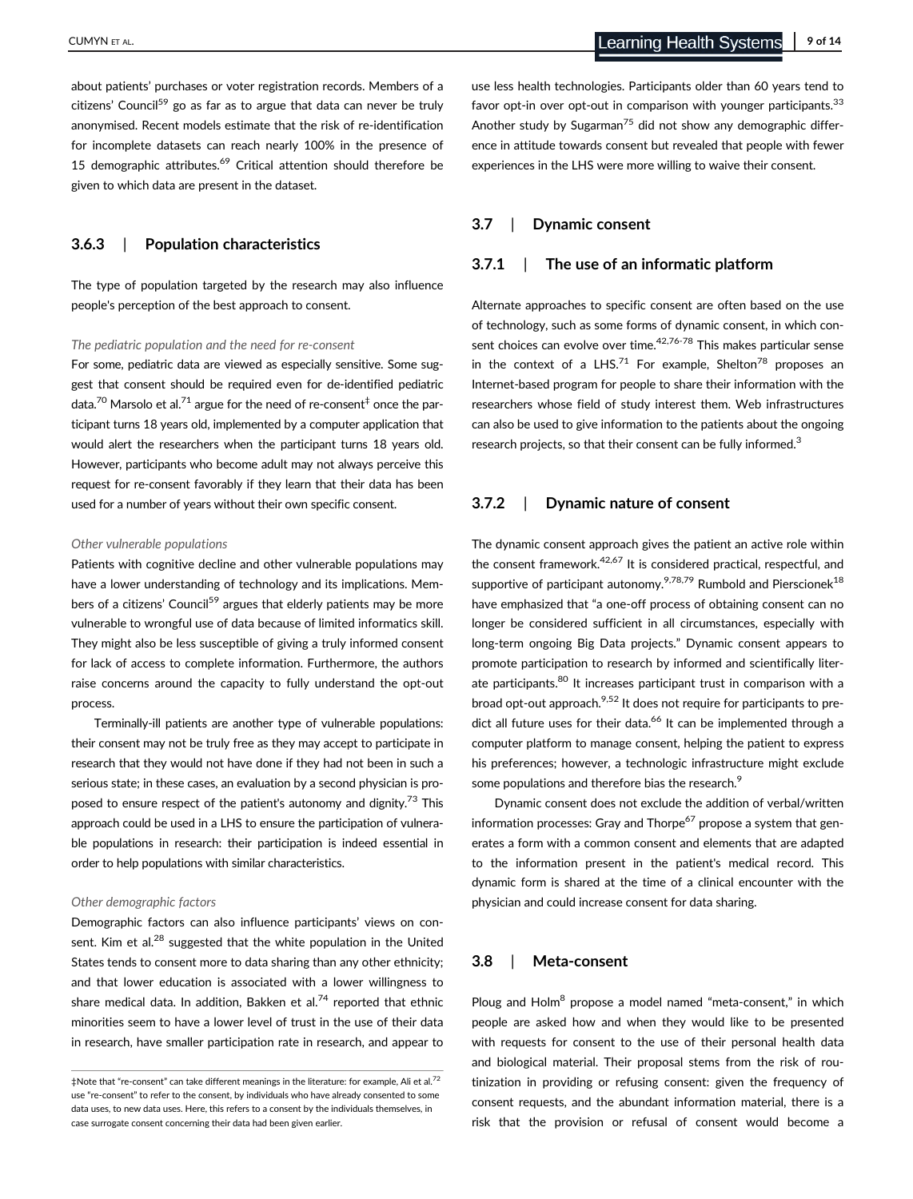about patients' purchases or voter registration records. Members of a citizens' Council<sup>59</sup> go as far as to argue that data can never be truly anonymised. Recent models estimate that the risk of re-identification for incomplete datasets can reach nearly 100% in the presence of 15 demographic attributes.<sup>69</sup> Critical attention should therefore be given to which data are present in the dataset.

## **3.6.3** | **Population characteristics**

The type of population targeted by the research may also influence people's perception of the best approach to consent.

#### *The pediatric population and the need for re-consent*

For some, pediatric data are viewed as especially sensitive. Some suggest that consent should be required even for de-identified pediatric data.<sup>70</sup> Marsolo et al.<sup>71</sup> argue for the need of re-consent<sup>‡</sup> once the participant turns 18 years old, implemented by a computer application that would alert the researchers when the participant turns 18 years old. However, participants who become adult may not always perceive this request for re-consent favorably if they learn that their data has been used for a number of years without their own specific consent.

#### *Other vulnerable populations*

Patients with cognitive decline and other vulnerable populations may have a lower understanding of technology and its implications. Members of a citizens' Council<sup>59</sup> argues that elderly patients may be more vulnerable to wrongful use of data because of limited informatics skill. They might also be less susceptible of giving a truly informed consent for lack of access to complete information. Furthermore, the authors raise concerns around the capacity to fully understand the opt-out process.

Terminally-ill patients are another type of vulnerable populations: their consent may not be truly free as they may accept to participate in research that they would not have done if they had not been in such a serious state; in these cases, an evaluation by a second physician is proposed to ensure respect of the patient's autonomy and dignity.<sup>73</sup> This approach could be used in a LHS to ensure the participation of vulnerable populations in research: their participation is indeed essential in order to help populations with similar characteristics.

### *Other demographic factors*

Demographic factors can also influence participants' views on consent. Kim et al.<sup>28</sup> suggested that the white population in the United States tends to consent more to data sharing than any other ethnicity; and that lower education is associated with a lower willingness to share medical data. In addition, Bakken et al.<sup>74</sup> reported that ethnic minorities seem to have a lower level of trust in the use of their data in research, have smaller participation rate in research, and appear to use less health technologies. Participants older than 60 years tend to favor opt-in over opt-out in comparison with younger participants.<sup>33</sup> Another study by Sugarman<sup>75</sup> did not show any demographic difference in attitude towards consent but revealed that people with fewer experiences in the LHS were more willing to waive their consent.

## **3.7** | **Dynamic consent**

## **3.7.1** | **The use of an informatic platform**

Alternate approaches to specific consent are often based on the use of technology, such as some forms of dynamic consent, in which consent choices can evolve over time.<sup>42,76-78</sup> This makes particular sense in the context of a LHS.<sup>71</sup> For example, Shelton<sup>78</sup> proposes an Internet-based program for people to share their information with the researchers whose field of study interest them. Web infrastructures can also be used to give information to the patients about the ongoing research projects, so that their consent can be fully informed.<sup>3</sup>

## **3.7.2** | **Dynamic nature of consent**

The dynamic consent approach gives the patient an active role within the consent framework. $42,67$  It is considered practical, respectful, and supportive of participant autonomy. $9,78,79$  Rumbold and Pierscionek<sup>18</sup> have emphasized that "a one-off process of obtaining consent can no longer be considered sufficient in all circumstances, especially with long-term ongoing Big Data projects." Dynamic consent appears to promote participation to research by informed and scientifically literate participants.<sup>80</sup> It increases participant trust in comparison with a broad opt-out approach. $9,52$  It does not require for participants to predict all future uses for their data.<sup>66</sup> It can be implemented through a computer platform to manage consent, helping the patient to express his preferences; however, a technologic infrastructure might exclude some populations and therefore bias the research.<sup>9</sup>

Dynamic consent does not exclude the addition of verbal/written information processes: Gray and Thorpe<sup>67</sup> propose a system that generates a form with a common consent and elements that are adapted to the information present in the patient's medical record. This dynamic form is shared at the time of a clinical encounter with the physician and could increase consent for data sharing.

### **3.8** | **Meta-consent**

Ploug and Holm<sup>8</sup> propose a model named "meta-consent," in which people are asked how and when they would like to be presented with requests for consent to the use of their personal health data and biological material. Their proposal stems from the risk of routinization in providing or refusing consent: given the frequency of consent requests, and the abundant information material, there is a risk that the provision or refusal of consent would become a

<sup>‡</sup>Note that "re-consent" can take different meanings in the literature: for example, Ali et al.<sup>72</sup> use "re-consent" to refer to the consent, by individuals who have already consented to some data uses, to new data uses. Here, this refers to a consent by the individuals themselves, in case surrogate consent concerning their data had been given earlier.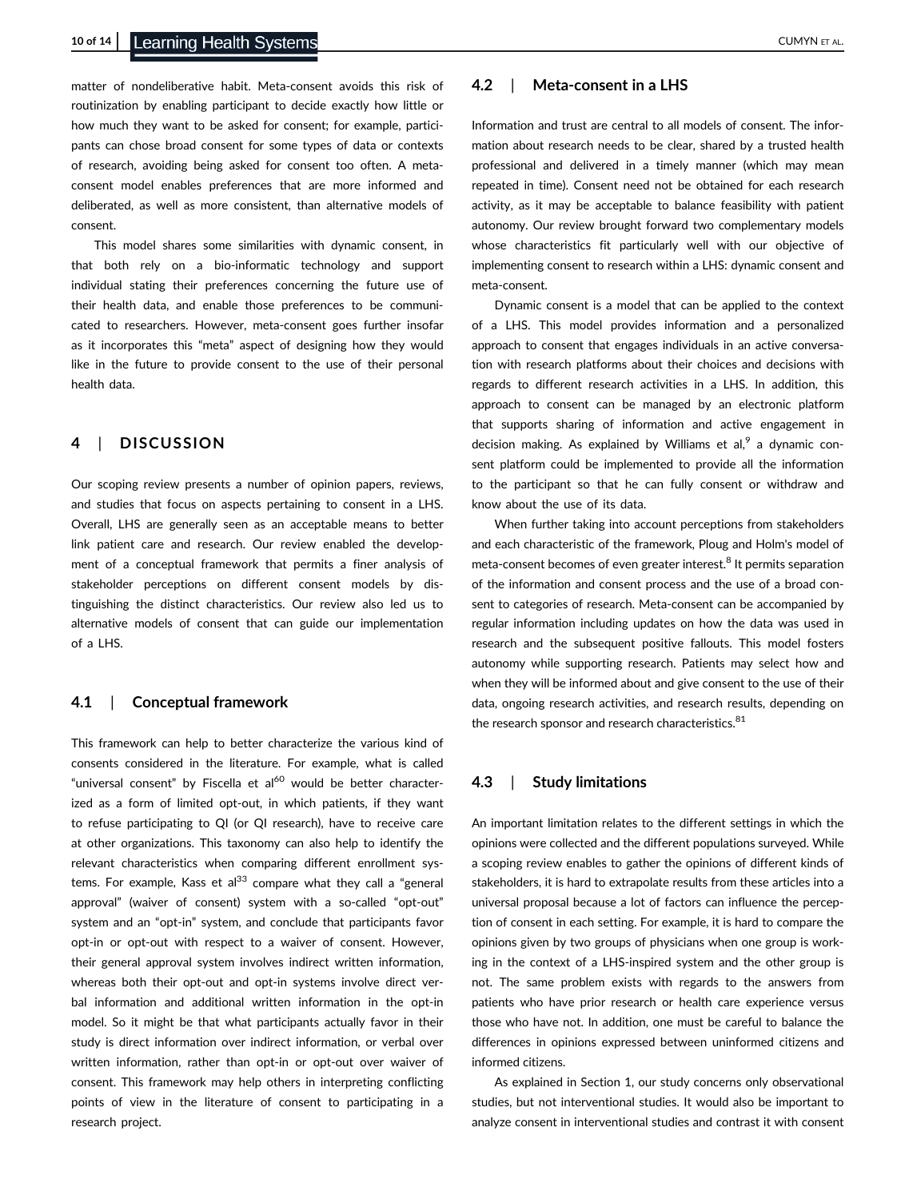matter of nondeliberative habit. Meta-consent avoids this risk of routinization by enabling participant to decide exactly how little or how much they want to be asked for consent; for example, participants can chose broad consent for some types of data or contexts of research, avoiding being asked for consent too often. A metaconsent model enables preferences that are more informed and deliberated, as well as more consistent, than alternative models of consent.

This model shares some similarities with dynamic consent, in that both rely on a bio-informatic technology and support individual stating their preferences concerning the future use of their health data, and enable those preferences to be communicated to researchers. However, meta-consent goes further insofar as it incorporates this "meta" aspect of designing how they would like in the future to provide consent to the use of their personal health data.

## **4** | **DISCUSSION**

Our scoping review presents a number of opinion papers, reviews, and studies that focus on aspects pertaining to consent in a LHS. Overall, LHS are generally seen as an acceptable means to better link patient care and research. Our review enabled the development of a conceptual framework that permits a finer analysis of stakeholder perceptions on different consent models by distinguishing the distinct characteristics. Our review also led us to alternative models of consent that can guide our implementation of a LHS.

## **4.1** | **Conceptual framework**

This framework can help to better characterize the various kind of consents considered in the literature. For example, what is called "universal consent" by Fiscella et al<sup>60</sup> would be better characterized as a form of limited opt-out, in which patients, if they want to refuse participating to QI (or QI research), have to receive care at other organizations. This taxonomy can also help to identify the relevant characteristics when comparing different enrollment systems. For example, Kass et al $^{33}$  compare what they call a "general approval" (waiver of consent) system with a so-called "opt-out" system and an "opt-in" system, and conclude that participants favor opt-in or opt-out with respect to a waiver of consent. However, their general approval system involves indirect written information, whereas both their opt-out and opt-in systems involve direct verbal information and additional written information in the opt-in model. So it might be that what participants actually favor in their study is direct information over indirect information, or verbal over written information, rather than opt-in or opt-out over waiver of consent. This framework may help others in interpreting conflicting points of view in the literature of consent to participating in a research project.

## **4.2** | **Meta-consent in a LHS**

Information and trust are central to all models of consent. The information about research needs to be clear, shared by a trusted health professional and delivered in a timely manner (which may mean repeated in time). Consent need not be obtained for each research activity, as it may be acceptable to balance feasibility with patient autonomy. Our review brought forward two complementary models whose characteristics fit particularly well with our objective of implementing consent to research within a LHS: dynamic consent and meta-consent.

Dynamic consent is a model that can be applied to the context of a LHS. This model provides information and a personalized approach to consent that engages individuals in an active conversation with research platforms about their choices and decisions with regards to different research activities in a LHS. In addition, this approach to consent can be managed by an electronic platform that supports sharing of information and active engagement in decision making. As explained by Williams et al, $9$  a dynamic consent platform could be implemented to provide all the information to the participant so that he can fully consent or withdraw and know about the use of its data.

When further taking into account perceptions from stakeholders and each characteristic of the framework, Ploug and Holm's model of meta-consent becomes of even greater interest.<sup>8</sup> It permits separation of the information and consent process and the use of a broad consent to categories of research. Meta-consent can be accompanied by regular information including updates on how the data was used in research and the subsequent positive fallouts. This model fosters autonomy while supporting research. Patients may select how and when they will be informed about and give consent to the use of their data, ongoing research activities, and research results, depending on the research sponsor and research characteristics.<sup>81</sup>

## **4.3** | **Study limitations**

An important limitation relates to the different settings in which the opinions were collected and the different populations surveyed. While a scoping review enables to gather the opinions of different kinds of stakeholders, it is hard to extrapolate results from these articles into a universal proposal because a lot of factors can influence the perception of consent in each setting. For example, it is hard to compare the opinions given by two groups of physicians when one group is working in the context of a LHS-inspired system and the other group is not. The same problem exists with regards to the answers from patients who have prior research or health care experience versus those who have not. In addition, one must be careful to balance the differences in opinions expressed between uninformed citizens and informed citizens.

As explained in Section 1, our study concerns only observational studies, but not interventional studies. It would also be important to analyze consent in interventional studies and contrast it with consent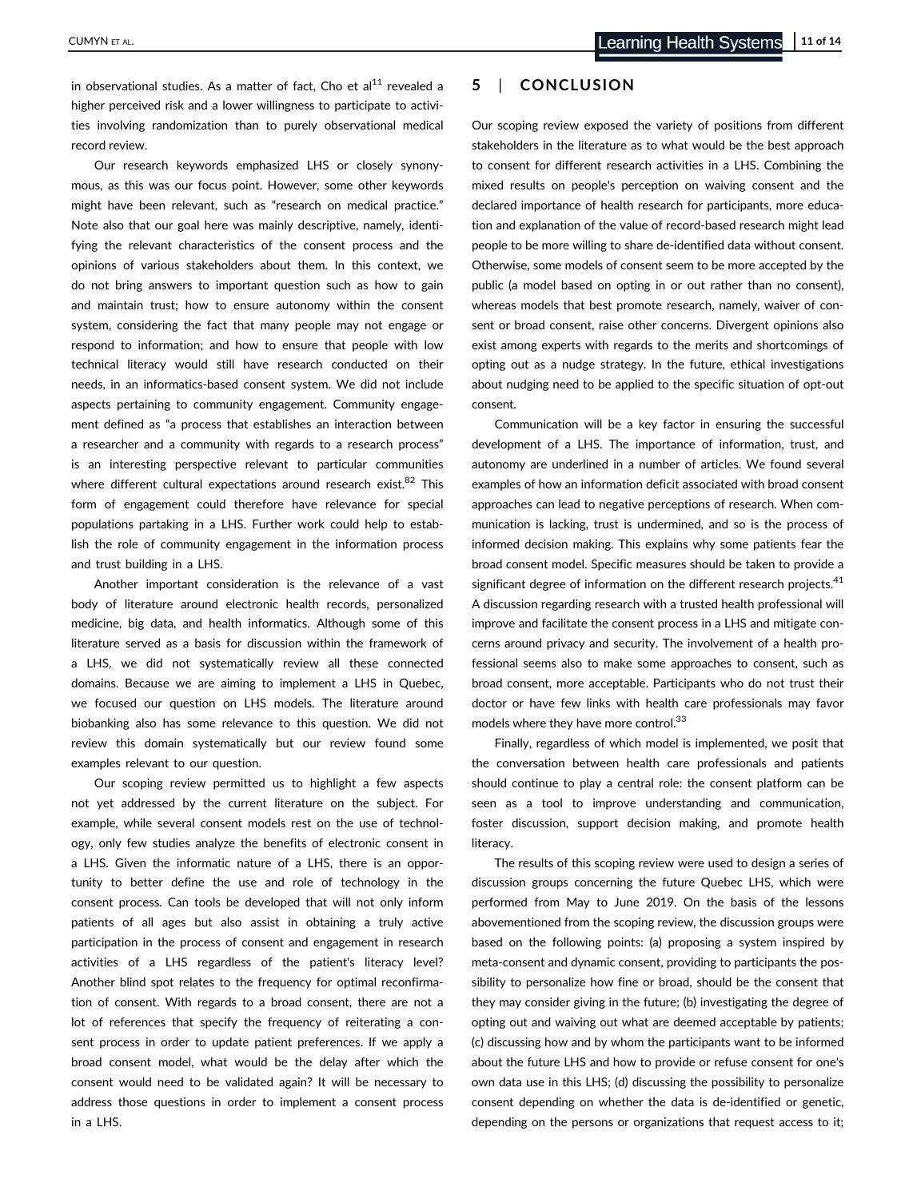in observational studies. As a matter of fact, Cho et al $^{11}$  revealed a higher perceived risk and a lower willingness to participate to activities involving randomization than to purely observational medical record review.

Our research keywords emphasized LHS or closely synonymous, as this was our focus point. However, some other keywords might have been relevant, such as "research on medical practice." Note also that our goal here was mainly descriptive, namely, identifying the relevant characteristics of the consent process and the opinions of various stakeholders about them. In this context, we do not bring answers to important question such as how to gain and maintain trust; how to ensure autonomy within the consent system, considering the fact that many people may not engage or respond to information; and how to ensure that people with low technical literacy would still have research conducted on their needs, in an informatics-based consent system. We did not include aspects pertaining to community engagement. Community engagement defined as "a process that establishes an interaction between a researcher and a community with regards to a research process" is an interesting perspective relevant to particular communities where different cultural expectations around research exist. $82$  This form of engagement could therefore have relevance for special populations partaking in a LHS. Further work could help to establish the role of community engagement in the information process and trust building in a LHS.

Another important consideration is the relevance of a vast body of literature around electronic health records, personalized medicine, big data, and health informatics. Although some of this literature served as a basis for discussion within the framework of a LHS, we did not systematically review all these connected domains. Because we are aiming to implement a LHS in Quebec, we focused our question on LHS models. The literature around biobanking also has some relevance to this question. We did not review this domain systematically but our review found some examples relevant to our question.

Our scoping review permitted us to highlight a few aspects not yet addressed by the current literature on the subject. For example, while several consent models rest on the use of technology, only few studies analyze the benefits of electronic consent in a LHS. Given the informatic nature of a LHS, there is an opportunity to better define the use and role of technology in the consent process. Can tools be developed that will not only inform patients of all ages but also assist in obtaining a truly active participation in the process of consent and engagement in research activities of a LHS regardless of the patient's literacy level? Another blind spot relates to the frequency for optimal reconfirmation of consent. With regards to a broad consent, there are not a lot of references that specify the frequency of reiterating a consent process in order to update patient preferences. If we apply a broad consent model, what would be the delay after which the consent would need to be validated again? It will be necessary to address those questions in order to implement a consent process in a LHS.

# **5** | **CONCLUSION**

Our scoping review exposed the variety of positions from different stakeholders in the literature as to what would be the best approach to consent for different research activities in a LHS. Combining the mixed results on people's perception on waiving consent and the declared importance of health research for participants, more education and explanation of the value of record-based research might lead people to be more willing to share de-identified data without consent. Otherwise, some models of consent seem to be more accepted by the public (a model based on opting in or out rather than no consent), whereas models that best promote research, namely, waiver of consent or broad consent, raise other concerns. Divergent opinions also exist among experts with regards to the merits and shortcomings of opting out as a nudge strategy. In the future, ethical investigations about nudging need to be applied to the specific situation of opt-out consent.

Communication will be a key factor in ensuring the successful development of a LHS. The importance of information, trust, and autonomy are underlined in a number of articles. We found several examples of how an information deficit associated with broad consent approaches can lead to negative perceptions of research. When communication is lacking, trust is undermined, and so is the process of informed decision making. This explains why some patients fear the broad consent model. Specific measures should be taken to provide a significant degree of information on the different research projects.<sup>41</sup> A discussion regarding research with a trusted health professional will improve and facilitate the consent process in a LHS and mitigate concerns around privacy and security. The involvement of a health professional seems also to make some approaches to consent, such as broad consent, more acceptable. Participants who do not trust their doctor or have few links with health care professionals may favor models where they have more control.<sup>33</sup>

Finally, regardless of which model is implemented, we posit that the conversation between health care professionals and patients should continue to play a central role: the consent platform can be seen as a tool to improve understanding and communication, foster discussion, support decision making, and promote health literacy.

The results of this scoping review were used to design a series of discussion groups concerning the future Quebec LHS, which were performed from May to June 2019. On the basis of the lessons abovementioned from the scoping review, the discussion groups were based on the following points: (a) proposing a system inspired by meta-consent and dynamic consent, providing to participants the possibility to personalize how fine or broad, should be the consent that they may consider giving in the future; (b) investigating the degree of opting out and waiving out what are deemed acceptable by patients; (c) discussing how and by whom the participants want to be informed about the future LHS and how to provide or refuse consent for one's own data use in this LHS; (d) discussing the possibility to personalize consent depending on whether the data is de-identified or genetic, depending on the persons or organizations that request access to it;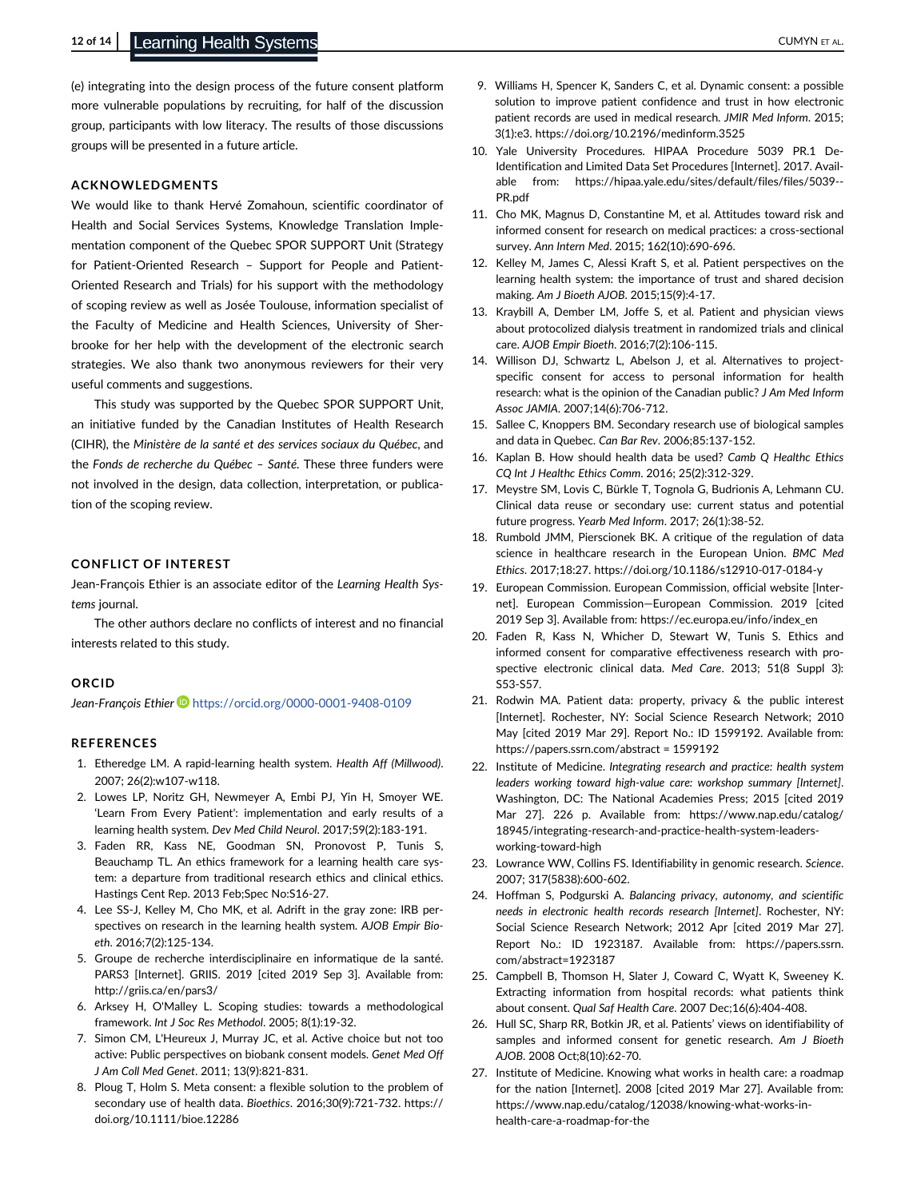**12 of 14 | Learning Health Systems 12 of 14 | Learning Health Systems** 

(e) integrating into the design process of the future consent platform more vulnerable populations by recruiting, for half of the discussion group, participants with low literacy. The results of those discussions groups will be presented in a future article.

## **ACKNOWLEDGMENTS**

We would like to thank Hervé Zomahoun, scientific coordinator of Health and Social Services Systems, Knowledge Translation Implementation component of the Quebec SPOR SUPPORT Unit (Strategy for Patient-Oriented Research – Support for People and Patient-Oriented Research and Trials) for his support with the methodology of scoping review as well as Josée Toulouse, information specialist of the Faculty of Medicine and Health Sciences, University of Sherbrooke for her help with the development of the electronic search strategies. We also thank two anonymous reviewers for their very useful comments and suggestions.

This study was supported by the Quebec SPOR SUPPORT Unit, an initiative funded by the Canadian Institutes of Health Research (CIHR), the *Ministère de la santé et des services sociaux du Québec*, and the *Fonds de recherche du Québec – Santé.* These three funders were not involved in the design, data collection, interpretation, or publication of the scoping review.

## **CONFLICT OF INTEREST**

Jean-François Ethier is an associate editor of the *Learning Health Systems* journal.

The other authors declare no conflicts of interest and no financial interests related to this study.

## **ORCID**

*Jean-François Ethier* <https://orcid.org/0000-0001-9408-0109>

#### **REFERENCES**

- 1. Etheredge LM. A rapid-learning health system. *Health Aff (Millwood)*. 2007; 26(2):w107-w118.
- 2. Lowes LP, Noritz GH, Newmeyer A, Embi PJ, Yin H, Smoyer WE. 'Learn From Every Patient': implementation and early results of a learning health system. *Dev Med Child Neurol*. 2017;59(2):183-191.
- 3. Faden RR, Kass NE, Goodman SN, Pronovost P, Tunis S, Beauchamp TL. An ethics framework for a learning health care system: a departure from traditional research ethics and clinical ethics. Hastings Cent Rep. 2013 Feb;Spec No:S16-27.
- 4. Lee SS-J, Kelley M, Cho MK, et al. Adrift in the gray zone: IRB perspectives on research in the learning health system. *AJOB Empir Bioeth*. 2016;7(2):125-134.
- 5. Groupe de recherche interdisciplinaire en informatique de la santé. PARS3 [Internet]. GRIIS. 2019 [cited 2019 Sep 3]. Available from: <http://griis.ca/en/pars3/>
- 6. Arksey H, O'Malley L. Scoping studies: towards a methodological framework. *Int J Soc Res Methodol*. 2005; 8(1):19-32.
- 7. Simon CM, L'Heureux J, Murray JC, et al. Active choice but not too active: Public perspectives on biobank consent models. *Genet Med Off J Am Coll Med Genet*. 2011; 13(9):821-831.
- 8. Ploug T, Holm S. Meta consent: a flexible solution to the problem of secondary use of health data. *Bioethics*. 2016;30(9):721-732. [https://](https://doi.org/10.1111/bioe.12286) [doi.org/10.1111/bioe.12286](https://doi.org/10.1111/bioe.12286)
- 9. Williams H, Spencer K, Sanders C, et al. Dynamic consent: a possible solution to improve patient confidence and trust in how electronic patient records are used in medical research. *JMIR Med Inform*. 2015; 3(1):e3.<https://doi.org/10.2196/medinform.3525>
- 10. Yale University Procedures. HIPAA Procedure 5039 PR.1 De-Identification and Limited Data Set Procedures [Internet]. 2017. Available from: https://hipaa.yale.edu/sites/default/files/files/5039-- PR.pdf
- 11. Cho MK, Magnus D, Constantine M, et al. Attitudes toward risk and informed consent for research on medical practices: a cross-sectional survey. *Ann Intern Med*. 2015; 162(10):690-696.
- 12. Kelley M, James C, Alessi Kraft S, et al. Patient perspectives on the learning health system: the importance of trust and shared decision making. *Am J Bioeth AJOB*. 2015;15(9):4-17.
- 13. Kraybill A, Dember LM, Joffe S, et al. Patient and physician views about protocolized dialysis treatment in randomized trials and clinical care. *AJOB Empir Bioeth*. 2016;7(2):106-115.
- 14. Willison DJ, Schwartz L, Abelson J, et al. Alternatives to projectspecific consent for access to personal information for health research: what is the opinion of the Canadian public? *J Am Med Inform Assoc JAMIA*. 2007;14(6):706-712.
- 15. Sallee C, Knoppers BM. Secondary research use of biological samples and data in Quebec. *Can Bar Rev*. 2006;85:137-152.
- 16. Kaplan B. How should health data be used? *Camb Q Healthc Ethics CQ Int J Healthc Ethics Comm*. 2016; 25(2):312-329.
- 17. Meystre SM, Lovis C, Bürkle T, Tognola G, Budrionis A, Lehmann CU. Clinical data reuse or secondary use: current status and potential future progress. *Yearb Med Inform*. 2017; 26(1):38-52.
- 18. Rumbold JMM, Pierscionek BK. A critique of the regulation of data science in healthcare research in the European Union. *BMC Med Ethics*. 2017;18:27.<https://doi.org/10.1186/s12910-017-0184-y>
- 19. European Commission. European Commission, official website [Internet]. European Commission—European Commission. 2019 [cited 2019 Sep 3]. Available from: [https://ec.europa.eu/info/index\\_en](https://ec.europa.eu/info/index_en)
- 20. Faden R, Kass N, Whicher D, Stewart W, Tunis S. Ethics and informed consent for comparative effectiveness research with prospective electronic clinical data. *Med Care*. 2013; 51(8 Suppl 3): S53-S57.
- 21. Rodwin MA. Patient data: property, privacy & the public interest [Internet]. Rochester, NY: Social Science Research Network; 2010 May [cited 2019 Mar 29]. Report No.: ID 1599192. Available from: https://papers.ssrn.com/abstract = 1599192
- 22. Institute of Medicine. *Integrating research and practice: health system leaders working toward high-value care: workshop summary [Internet]*. Washington, DC: The National Academies Press; 2015 [cited 2019 Mar 27]. 226 p. Available from: [https://www.nap.edu/catalog/](https://www.nap.edu/catalog/18945/integrating-research-and-practice-health-system-leaders-working-toward-high) [18945/integrating-research-and-practice-health-system-leaders](https://www.nap.edu/catalog/18945/integrating-research-and-practice-health-system-leaders-working-toward-high)[working-toward-high](https://www.nap.edu/catalog/18945/integrating-research-and-practice-health-system-leaders-working-toward-high)
- 23. Lowrance WW, Collins FS. Identifiability in genomic research. *Science*. 2007; 317(5838):600-602.
- 24. Hoffman S, Podgurski A. *Balancing privacy, autonomy, and scientific needs in electronic health records research [Internet]*. Rochester, NY: Social Science Research Network; 2012 Apr [cited 2019 Mar 27]. Report No.: ID 1923187. Available from: [https://papers.ssrn.](https://papers.ssrn.com/abstract=1923187) [com/abstract=1923187](https://papers.ssrn.com/abstract=1923187)
- 25. Campbell B, Thomson H, Slater J, Coward C, Wyatt K, Sweeney K. Extracting information from hospital records: what patients think about consent. *Qual Saf Health Care*. 2007 Dec;16(6):404-408.
- 26. Hull SC, Sharp RR, Botkin JR, et al. Patients' views on identifiability of samples and informed consent for genetic research. *Am J Bioeth AJOB*. 2008 Oct;8(10):62-70.
- 27. Institute of Medicine. Knowing what works in health care: a roadmap for the nation [Internet]. 2008 [cited 2019 Mar 27]. Available from: [https://www.nap.edu/catalog/12038/knowing-what-works-in](https://www.nap.edu/catalog/12038/knowing-what-works-in-health-care-a-roadmap-for-the)[health-care-a-roadmap-for-the](https://www.nap.edu/catalog/12038/knowing-what-works-in-health-care-a-roadmap-for-the)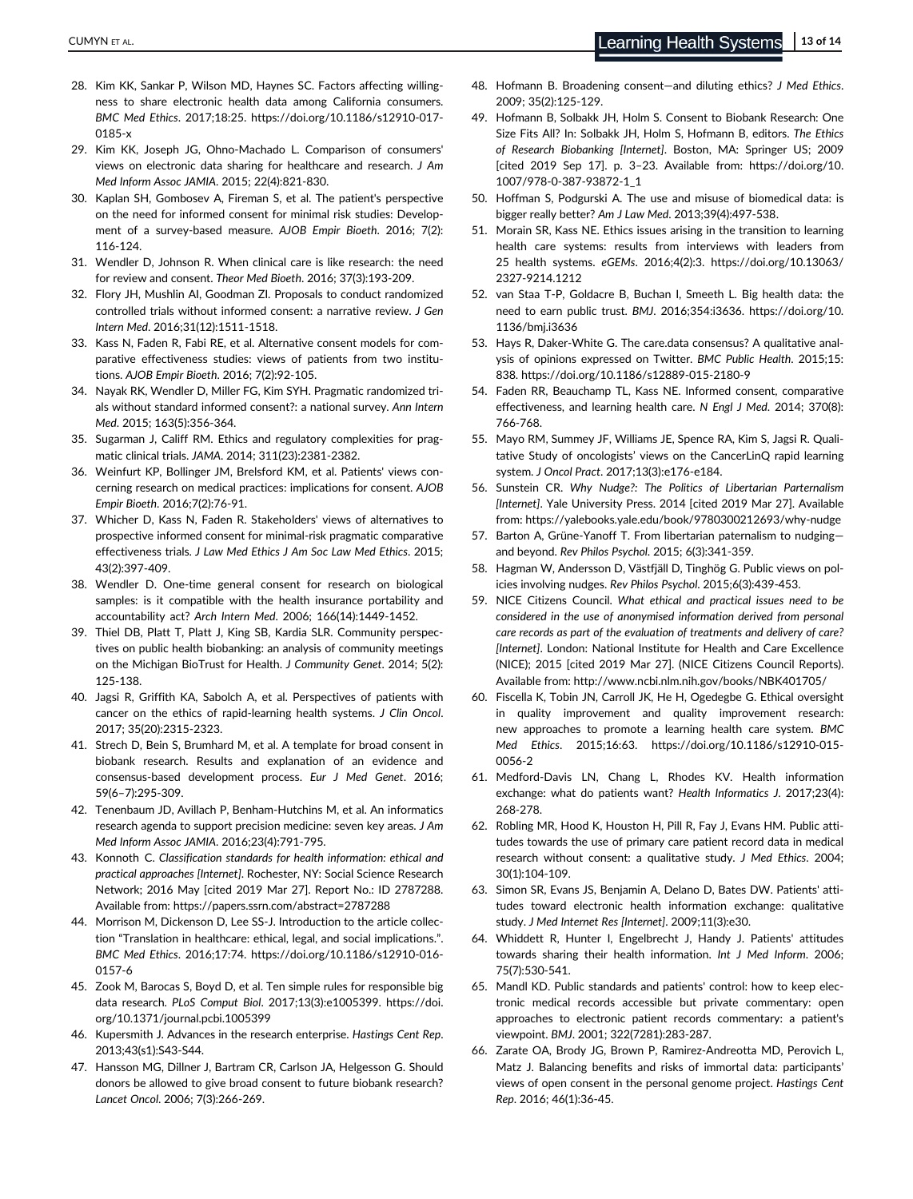- 28. Kim KK, Sankar P, Wilson MD, Haynes SC. Factors affecting willingness to share electronic health data among California consumers. *BMC Med Ethics*. 2017;18:25. [https://doi.org/10.1186/s12910-017-](https://doi.org/10.1186/s12910-017-0185-x) [0185-x](https://doi.org/10.1186/s12910-017-0185-x)
- 29. Kim KK, Joseph JG, Ohno-Machado L. Comparison of consumers' views on electronic data sharing for healthcare and research. *J Am Med Inform Assoc JAMIA*. 2015; 22(4):821-830.
- 30. Kaplan SH, Gombosev A, Fireman S, et al. The patient's perspective on the need for informed consent for minimal risk studies: Development of a survey-based measure. *AJOB Empir Bioeth*. 2016; 7(2): 116-124.
- 31. Wendler D, Johnson R. When clinical care is like research: the need for review and consent. *Theor Med Bioeth*. 2016; 37(3):193-209.
- 32. Flory JH, Mushlin AI, Goodman ZI. Proposals to conduct randomized controlled trials without informed consent: a narrative review. *J Gen Intern Med*. 2016;31(12):1511-1518.
- 33. Kass N, Faden R, Fabi RE, et al. Alternative consent models for comparative effectiveness studies: views of patients from two institutions. *AJOB Empir Bioeth*. 2016; 7(2):92-105.
- 34. Nayak RK, Wendler D, Miller FG, Kim SYH. Pragmatic randomized trials without standard informed consent?: a national survey. *Ann Intern Med*. 2015; 163(5):356-364.
- 35. Sugarman J, Califf RM. Ethics and regulatory complexities for pragmatic clinical trials. *JAMA*. 2014; 311(23):2381-2382.
- 36. Weinfurt KP, Bollinger JM, Brelsford KM, et al. Patients' views concerning research on medical practices: implications for consent. *AJOB Empir Bioeth*. 2016;7(2):76-91.
- 37. Whicher D, Kass N, Faden R. Stakeholders' views of alternatives to prospective informed consent for minimal-risk pragmatic comparative effectiveness trials. *J Law Med Ethics J Am Soc Law Med Ethics*. 2015; 43(2):397-409.
- 38. Wendler D. One-time general consent for research on biological samples: is it compatible with the health insurance portability and accountability act? *Arch Intern Med*. 2006; 166(14):1449-1452.
- 39. Thiel DB, Platt T, Platt J, King SB, Kardia SLR. Community perspectives on public health biobanking: an analysis of community meetings on the Michigan BioTrust for Health. *J Community Genet*. 2014; 5(2): 125-138.
- 40. Jagsi R, Griffith KA, Sabolch A, et al. Perspectives of patients with cancer on the ethics of rapid-learning health systems. *J Clin Oncol*. 2017; 35(20):2315-2323.
- 41. Strech D, Bein S, Brumhard M, et al. A template for broad consent in biobank research. Results and explanation of an evidence and consensus-based development process. *Eur J Med Genet*. 2016; 59(6–7):295-309.
- 42. Tenenbaum JD, Avillach P, Benham-Hutchins M, et al. An informatics research agenda to support precision medicine: seven key areas. *J Am Med Inform Assoc JAMIA*. 2016;23(4):791-795.
- 43. Konnoth C. *Classification standards for health information: ethical and practical approaches [Internet]*. Rochester, NY: Social Science Research Network; 2016 May [cited 2019 Mar 27]. Report No.: ID 2787288. Available from:<https://papers.ssrn.com/abstract=2787288>
- 44. Morrison M, Dickenson D, Lee SS-J. Introduction to the article collection "Translation in healthcare: ethical, legal, and social implications.". *BMC Med Ethics*. 2016;17:74. [https://doi.org/10.1186/s12910-016-](https://doi.org/10.1186/s12910-016-0157-6) [0157-6](https://doi.org/10.1186/s12910-016-0157-6)
- 45. Zook M, Barocas S, Boyd D, et al. Ten simple rules for responsible big data research. *PLoS Comput Biol*. 2017;13(3):e1005399. [https://doi.](https://doi.org/10.1371/journal.pcbi.1005399) [org/10.1371/journal.pcbi.1005399](https://doi.org/10.1371/journal.pcbi.1005399)
- 46. Kupersmith J. Advances in the research enterprise. *Hastings Cent Rep*. 2013;43(s1):S43-S44.
- 47. Hansson MG, Dillner J, Bartram CR, Carlson JA, Helgesson G. Should donors be allowed to give broad consent to future biobank research? *Lancet Oncol*. 2006; 7(3):266-269.
- 48. Hofmann B. Broadening consent—and diluting ethics? *J Med Ethics*. 2009; 35(2):125-129.
- 49. Hofmann B, Solbakk JH, Holm S. Consent to Biobank Research: One Size Fits All? In: Solbakk JH, Holm S, Hofmann B, editors. *The Ethics of Research Biobanking [Internet]*. Boston, MA: Springer US; 2009 [cited 2019 Sep 17]. p. 3–23. Available from: [https://doi.org/10.](https://doi.org/10.1007/978-0-387-93872-1_1) [1007/978-0-387-93872-1\\_1](https://doi.org/10.1007/978-0-387-93872-1_1)
- 50. Hoffman S, Podgurski A. The use and misuse of biomedical data: is bigger really better? *Am J Law Med*. 2013;39(4):497-538.
- 51. Morain SR, Kass NE. Ethics issues arising in the transition to learning health care systems: results from interviews with leaders from 25 health systems. *eGEMs*. 2016;4(2):3. [https://doi.org/10.13063/](https://doi.org/10.13063/2327-9214.1212) [2327-9214.1212](https://doi.org/10.13063/2327-9214.1212)
- 52. van Staa T-P, Goldacre B, Buchan I, Smeeth L. Big health data: the need to earn public trust. *BMJ*. 2016;354:i3636. [https://doi.org/10.](https://doi.org/10.1136/bmj.i3636) [1136/bmj.i3636](https://doi.org/10.1136/bmj.i3636)
- 53. Hays R, Daker-White G. The care.data consensus? A qualitative analysis of opinions expressed on Twitter. *BMC Public Health*. 2015;15: 838.<https://doi.org/10.1186/s12889-015-2180-9>
- 54. Faden RR, Beauchamp TL, Kass NE. Informed consent, comparative effectiveness, and learning health care. *N Engl J Med*. 2014; 370(8): 766-768.
- 55. Mayo RM, Summey JF, Williams JE, Spence RA, Kim S, Jagsi R. Qualitative Study of oncologists' views on the CancerLinQ rapid learning system. *J Oncol Pract*. 2017;13(3):e176-e184.
- 56. Sunstein CR. *Why Nudge?: The Politics of Libertarian Parternalism [Internet]*. Yale University Press. 2014 [cited 2019 Mar 27]. Available from:<https://yalebooks.yale.edu/book/9780300212693/why-nudge>
- 57. Barton A, Grüne-Yanoff T. From libertarian paternalism to nudging and beyond. *Rev Philos Psychol*. 2015; 6(3):341-359.
- 58. Hagman W, Andersson D, Västfjäll D, Tinghög G. Public views on policies involving nudges. *Rev Philos Psychol*. 2015;6(3):439-453.
- 59. NICE Citizens Council. *What ethical and practical issues need to be considered in the use of anonymised information derived from personal care records as part of the evaluation of treatments and delivery of care? [Internet]*. London: National Institute for Health and Care Excellence (NICE); 2015 [cited 2019 Mar 27]. (NICE Citizens Council Reports). Available from:<http://www.ncbi.nlm.nih.gov/books/NBK401705/>
- 60. Fiscella K, Tobin JN, Carroll JK, He H, Ogedegbe G. Ethical oversight in quality improvement and quality improvement research: new approaches to promote a learning health care system. *BMC Med Ethics*. 2015;16:63. [https://doi.org/10.1186/s12910-015-](https://doi.org/10.1186/s12910-015-0056-2) [0056-2](https://doi.org/10.1186/s12910-015-0056-2)
- 61. Medford-Davis LN, Chang L, Rhodes KV. Health information exchange: what do patients want? *Health Informatics J*. 2017;23(4): 268-278.
- 62. Robling MR, Hood K, Houston H, Pill R, Fay J, Evans HM. Public attitudes towards the use of primary care patient record data in medical research without consent: a qualitative study. *J Med Ethics*. 2004; 30(1):104-109.
- 63. Simon SR, Evans JS, Benjamin A, Delano D, Bates DW. Patients' attitudes toward electronic health information exchange: qualitative study. *J Med Internet Res [Internet]*. 2009;11(3):e30.
- 64. Whiddett R, Hunter I, Engelbrecht J, Handy J. Patients' attitudes towards sharing their health information. *Int J Med Inform*. 2006; 75(7):530-541.
- 65. Mandl KD. Public standards and patients' control: how to keep electronic medical records accessible but private commentary: open approaches to electronic patient records commentary: a patient's viewpoint. *BMJ*. 2001; 322(7281):283-287.
- 66. Zarate OA, Brody JG, Brown P, Ramirez-Andreotta MD, Perovich L, Matz J. Balancing benefits and risks of immortal data: participants' views of open consent in the personal genome project. *Hastings Cent Rep*. 2016; 46(1):36-45.